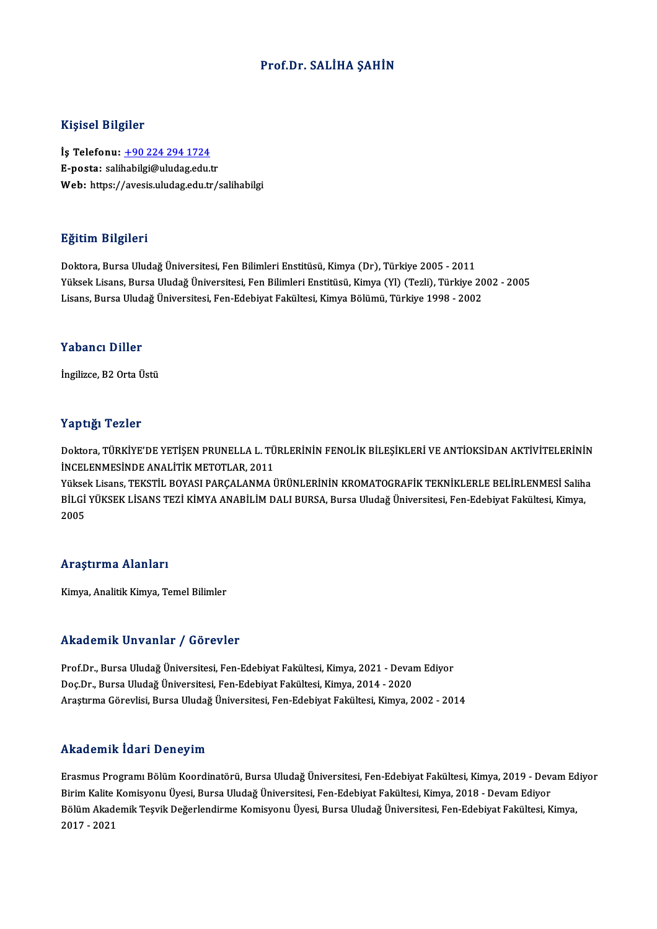## Prof.Dr. SALİHA ŞAHİN

#### Kişisel Bilgiler

Kişisel Bilgiler<br>İş Telefonu: <u>+90 224 294 1724</u><br>E nasta: səlibəbilgi@uludas.edu.t 11131001 D1151101<br>İş Telefonu: <u>+90 224 294 1724</u><br>E-posta: sali[habilgi@uludag.edu.](tel:+90 224 294 1724)tr E-posta: salihabilgi@uludag.edu.tr<br>Web: https://avesis.uludag.edu.tr/salihabilgi

#### Eğitim Bilgileri

Doktora, Bursa Uludağ Üniversitesi, Fen Bilimleri Enstitüsü, Kimya (Dr), Türkiye 2005 - 2011 25.<br>29. Doktora, Bursa Uludağ Üniversitesi, Fen Bilimleri Enstitüsü, Kimya (Dr), Türkiye 2005 - 2011<br>Yüksek Lisans, Bursa Uludağ Üniversitesi, Fen Bilimleri Enstitüsü, Kimya (Yl) (Tezli), Türkiye 2002 - 2005<br>Lisans, Bursa Doktora, Bursa Uludağ Üniversitesi, Fen Bilimleri Enstitüsü, Kimya (Dr), Türkiye 2005 - 2011<br>Yüksek Lisans, Bursa Uludağ Üniversitesi, Fen Bilimleri Enstitüsü, Kimya (Yl) (Tezli), Türkiye 20<br>Lisans, Bursa Uludağ Üniversite Lisans, Bursa Uludağ Üniversitesi, Fen-Edebiyat Fakültesi, Kimya Bölümü, Türkiye 1998 - 2002<br>Yabancı Diller

İngilizce, B2 Orta Üstü

#### Yaptığı Tezler

Yaptığı Tezler<br>Doktora, TÜRKİYE'DE YETİŞEN PRUNELLA L. TÜRLERİNİN FENOLİK BİLEŞİKLERİ VE ANTİOKSİDAN AKTİVİTELERİNİN<br>İNCELENMESİNDE ANALİTİK METOTLAR 2011 Tüp erası<br>Doktora, TÜRKİYE'DE YETİŞEN PRUNELLA L. TÜ<br>İNCELENMESİNDE ANALİTİK METOTLAR, 2011<br>Vükaok Lisana, TEKSTİL POVASI PARCALANMA İ Doktora, TÜRKİYE'DE YETİŞEN PRUNELLA L. TÜRLERİNİN FENOLİK BİLEŞİKLERİ VE ANTİOKSİDAN AKTİVİTELERİNİN<br>İNCELENMESİNDE ANALİTİK METOTLAR, 2011<br>Yüksek Lisans, TEKSTİL BOYASI PARÇALANMA ÜRÜNLERİNİN KROMATOGRAFİK TEKNİKLERLE BE

İNCELENMESİNDE ANALİTİK METOTLAR, 2011<br>Yüksek Lisans, TEKSTİL BOYASI PARÇALANMA ÜRÜNLERİNİN KROMATOGRAFİK TEKNİKLERLE BELİRLENMESİ Salih:<br>BİLGİ YÜKSEK LİSANS TEZİ KİMYA ANABİLİM DALI BURSA, Bursa Uludağ Üniversitesi, Fen-E Yükse<br>BİLGİ<br>2005 Araştırma Alanları

Kimya, Analitik Kimya, Temel Bilimler

#### Akademik Unvanlar / Görevler

Akademik Unvanlar / Görevler<br>Prof.Dr., Bursa Uludağ Üniversitesi, Fen-Edebiyat Fakültesi, Kimya, 2021 - Devam Ediyor<br>Des Dr., Bursa Uludağ Üniversitesi, Fen-Edebiyat Fakültesi, Kimya, 2014, 2020 Doç.Dr.,BursaUludağÜniversitesi,Fen-EdebiyatFakültesi,Kimya,2014 -2020 Doç.Dr., Bursa Uludağ Üniversitesi, Fen-Edebiyat Fakültesi, Kimya, 2014 - 2020<br>Araştırma Görevlisi, Bursa Uludağ Üniversitesi, Fen-Edebiyat Fakültesi, Kimya, 2002 - 2014

#### Akademik İdari Deneyim

**Akademik İdari Deneyim**<br>Erasmus Programı Bölüm Koordinatörü, Bursa Uludağ Üniversitesi, Fen-Edebiyat Fakültesi, Kimya, 2019 - Devam Ediyor<br>Pirim Kalite Komisyonu Üyesi, Bursa Uludağ Üniversitesi, Fen Edebiyat Fakültesi, K rındu ollini Yuuri Dolloy'ılı<br>Brasmus Programı Bölüm Koordinatörü, Bursa Uludağ Üniversitesi, Fen-Edebiyat Fakültesi, Kimya, 2019 - Deva<br>Bülüm Alademik Tesvik Değerlendirme Kemisyonu Üyesi, Fen-Edebiyat Fakültesi, Kimya, 2 Erasmus Programı Bölüm Koordinatörü, Bursa Uludağ Üniversitesi, Fen-Edebiyat Fakültesi, Kimya, 2019 - Devam Ed<br>Birim Kalite Komisyonu Üyesi, Bursa Uludağ Üniversitesi, Fen-Edebiyat Fakültesi, Kimya, 2018 - Devam Ediyor<br>Böl Birim Kalite Komisyonu Üyesi, Bursa Uludağ Üniversitesi, Fen-Edebiyat Fakültesi, Kimya, 2018 - Devam Ediyor<br>Bölüm Akademik Teşvik Değerlendirme Komisyonu Üyesi, Bursa Uludağ Üniversitesi, Fen-Edebiyat Fakültesi, Kimya,<br>201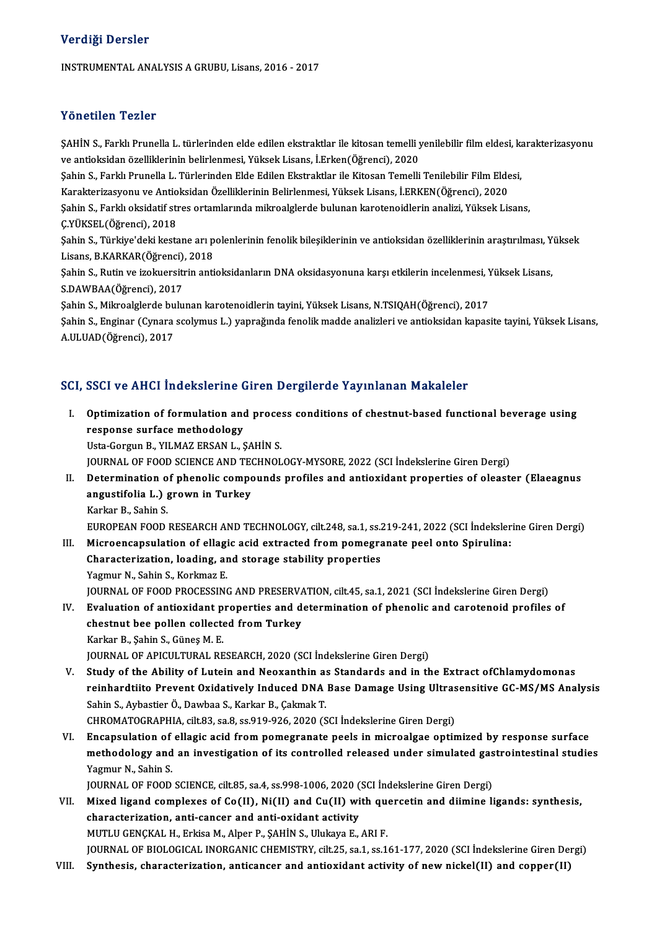### Verdiği Dersler

INSTRUMENTAL ANALYSIS A GRUBU, Lisans, 2016 - 2017

### Yönetilen Tezler

Yönetilen Tezler<br>ŞAHİN S., Farklı Prunella L. türlerinden elde edilen ekstraktlar ile kitosan temelli yenilebilir film eldesi, karakterizasyonu<br>ve antioksidan özelliklerinin belirlenmesi, Yüksek Lisans, İ. Frkan (Öğrenci), ve antistisinin ve antistisisinin elde edilen ekstraktlar ile kitosan temelli y<br>ŞAHİN S., Farklı Prunella L. türlerinden elde edilen ekstraktlar ile kitosan temelli y<br>Sebin S. Farklı Prunella L. Türlerinden Elde Edilen Eks ŞAHİN S., Farklı Prunella L. türlerinden elde edilen ekstraktlar ile kitosan temelli yenilebilir film eldesi, k<br>ve antioksidan özelliklerinin belirlenmesi, Yüksek Lisans, İ.Erken(Öğrenci), 2020<br>Şahin S., Farklı Prunella L.

ve antioksidan özelliklerinin belirlenmesi, Yüksek Lisans, İ.Erken(Öğrenci), 2020<br>Şahin S., Farklı Prunella L. Türlerinden Elde Edilen Ekstraktlar ile Kitosan Temelli Tenilebilir Film Eldesi,<br>Karakterizasyonu ve Antioksida

Şahin S., Farklı Prunella L. Türlerinden Elde Edilen Ekstraktlar ile Kitosan Temelli Tenilebilir Film Eldesi,<br>Karakterizasyonu ve Antioksidan Özelliklerinin Belirlenmesi, Yüksek Lisans, İ.ERKEN(Öğrenci), 2020<br>Şahin S., Far Karakterizasyonu ve Antio<br>Şahin S., Farklı oksidatif stı<br>Ç.YÜKSEL(Öğrenci), 2018<br>Sahin S. Türkiya'daki katt Şahin S., Farklı oksidatif stres ortamlarında mikroalglerde bulunan karotenoidlerin analizi, Yüksek Lisans,<br>Ç.YÜKSEL(Öğrenci), 2018<br>Şahin S., Türkiye'deki kestane arı polenlerinin fenolik bileşiklerinin ve antioksidan özel

Ç.YÜKSEL(Öğrenci), 2018<br>Şahin S., Türkiye'deki kestane arı p<br>Lisans, B.KARKAR(Öğrenci), 2018<br>Sehin S. Butin ve irolmensitrin anti Şahin S., Türkiye'deki kestane arı polenlerinin fenolik bileşiklerinin ve antioksidan özelliklerinin araştırılması, Y<br>Lisans, B.KARKAR(Öğrenci), 2018<br>Şahin S., Rutin ve izokuersitrin antioksidanların DNA oksidasyonuna karş

Lisans, B.KARKAR(Öğrenci),<br>Şahin S., Rutin ve izokuersitı<br>S.DAWBAA(Öğrenci), 2017<br>Sahin S. Milmaalslanda bulu Şahin S., Rutin ve izokuersitrin antioksidanların DNA oksidasyonuna karşı etkilerin incelenmesi, Y.<br>S.DAWBAA(Öğrenci), 2017<br>Şahin S., Mikroalglerde bulunan karotenoidlerin tayini, Yüksek Lisans, N.TSIQAH(Öğrenci), 2017<br>Sah

S.DAWBAA(Öğrenci), 2017<br>Şahin S., Mikroalglerde bulunan karotenoidlerin tayini, Yüksek Lisans, N.TSIQAH(Öğrenci), 2017<br>Şahin S., Enginar (Cynara scolymus L.) yaprağında fenolik madde analizleri ve antioksidan kapasite tayi Şahin S., Mikroalglerde bu<br>Şahin S., Enginar (Cynara<br>A.ULUAD(Öğrenci), 2017

# A.ULUAD(Öğrenci), 2017<br>SCI, SSCI ve AHCI İndekslerine Giren Dergilerde Yayınlanan Makaleler

- I. Optimization of formulation and process conditions of chestnut-based functional beverage using SPSN VOILLET INTERNATIONS<br>Optimization of formulation and<br>Test Corgus B VII MAZ ERSAN L **Optimization of formulation and proce:<br>response surface methodology<br>Usta-Gorgun B., YILMAZ ERSAN L., ŞAHİN S.<br>JOUPMAL OF FOOD SCIENCE AND TECUNOL** response surface methodology<br>Usta-Gorgun B., YILMAZ ERSAN L., ŞAHİN S.<br>JOURNAL OF FOOD SCIENCE AND TECHNOLOGY-MYSORE, 2022 (SCI İndekslerine Giren Dergi)<br>Petermination of phanolis semneunde prefiles and antievident prepert Usta-Gorgun B., YILMAZ ERSAN L., ŞAHİN S.<br>JOURNAL OF FOOD SCIENCE AND TECHNOLOGY-MYSORE, 2022 (SCI İndekslerine Giren Dergi)<br>II. Determination of phenolic compounds profiles and antioxidant properties of oleaster (Elae JOURNAL OF FOOD SCIENCE AND TE<br>Determination of phenolic compo<br>angustifolia L.) grown in Turkey<br>Karliar B. Sobin S. **Determination o<br>angustifolia L.) {<br>Karkar B., Sahin S.<br>EUROPEAN EOOD.** angustifolia L.) grown in Turkey<br>Karkar B., Sahin S.<br>EUROPEAN FOOD RESEARCH AND TECHNOLOGY, cilt.248, sa.1, ss.219-241, 2022 (SCI İndekslerine Giren Dergi) Karkar B., Sahin S.<br>EUROPEAN FOOD RESEARCH AND TECHNOLOGY, cilt.248, sa.1, ss.219-241, 2022 (SCI İndeksler<br>III. Microencapsulation of ellagic acid extracted from pomegranate peel onto Spirulina:<br>Characterization loading, a EUROPEAN FOOD RESEARCH AND TECHNOLOGY, cilt.248, sa.1, ss.2<br>Microencapsulation of ellagic acid extracted from pomegra<br>Characterization, loading, and storage stability properties<br>Yagmur N. Sabin S. Korlmaz F Microencapsulation of ellagi<br>Characterization, loading, ar<br>Yagmur N., Sahin S., Korkmaz E.<br>JOUPNAL OF FOOD PROCESSING Characterization, loading, and storage stability properties<br>Yagmur N., Sahin S., Korkmaz E.<br>JOURNAL OF FOOD PROCESSING AND PRESERVATION, cilt.45, sa.1, 2021 (SCI İndekslerine Giren Dergi)<br>Evaluation of antioxidant properti Yagmur N., Sahin S., Korkmaz E.<br>JOURNAL OF FOOD PROCESSING AND PRESERVATION, cilt.45, sa.1, 2021 (SCI İndekslerine Giren Dergi)<br>IV. Evaluation of antioxidant properties and determination of phenolic and carotenoid profiles JOURNAL OF FOOD PROCESSING AND PRESERVA<br>Evaluation of antioxidant properties and d<br>chestnut bee pollen collected from Turkey<br>Karkar B. Sobin S. Günes M. E Evaluation of antioxidant p<br>chestnut bee pollen collecte<br>Karkar B., Şahin S., Güneş M. E.<br>JOUPMAL OF APICULTURAL PE chestnut bee pollen collected from Turkey<br>Karkar B., Şahin S., Güneş M. E.<br>JOURNAL OF APICULTURAL RESEARCH, 2020 (SCI İndekslerine Giren Dergi) V. Study of the Ability of Lutein and Neoxanthin as Standards and in the Extract ofChlamydomonas JOURNAL OF APICULTURAL RESEARCH, 2020 (SCI İndekslerine Giren Dergi)<br>Study of the Ability of Lutein and Neoxanthin as Standards and in the Extract ofChlamydomonas<br>reinhardtiito Prevent Oxidatively Induced DNA Base Damage U
- Study of the Ability of Lutein and Neoxanthin as<br>reinhardtiito Prevent Oxidatively Induced DNA<br>Sahin S., Aybastier Ö., Dawbaa S., Karkar B., Çakmak T.<br>CHROMATOCRAPHA e<sup>ilt 92</sup>, sa 8, sa 9,10,026,2020 (S reinhardtiito Prevent Oxidatively Induced DNA Base Damage Using Ultras<br>Sahin S., Aybastier Ö., Dawbaa S., Karkar B., Çakmak T.<br>CHROMATOGRAPHIA, cilt.83, sa.8, ss.919-926, 2020 (SCI İndekslerine Giren Dergi)<br>Encapaulation o Sahin S., Aybastier Ö., Dawbaa S., Karkar B., Çakmak T.<br>CHROMATOGRAPHIA, cilt.83, sa.8, ss.919-926, 2020 (SCI İndekslerine Giren Dergi)<br>VI. Encapsulation of ellagic acid from pomegranate peels in microalgae optimized b

CHROMATOGRAPHIA, cilt.83, sa.8, ss.919-926, 2020 (SCI İndekslerine Giren Dergi)<br>Encapsulation of ellagic acid from pomegranate peels in microalgae optimized by response surface<br>methodology and an investigation of its contr Encapsulation of<br>methodology and<br>Yagmur N., Sahin S.<br>JOUPNAL OF FOOD methodology and an investigation of its controlled released under simulated gas<br>Yagmur N., Sahin S.<br>JOURNAL OF FOOD SCIENCE, cilt.85, sa.4, ss.998-1006, 2020 (SCI İndekslerine Giren Dergi)<br>Mived ligand camplayes of Co(II),

JOURNAL OF FOOD SCIENCE, cilt.85, sa.4, ss.998-1006, 2020 (SCI Indekslerine Giren Dergi)

- Yagmur N., Sahin S.<br>JOURNAL OF FOOD SCIENCE, cilt.85, sa.4, ss.998-1006, 2020 (SCI Indekslerine Giren Dergi)<br>VII. Mixed ligand complexes of Co(II), Ni(II) and Cu(II) with quercetin and diimine ligands: synthesis,<br>character MUTLUGENÇKALH.,ErkisaM.,Alper P.,ŞAHİNS.,UlukayaE.,ARIF. characterization, anti-cancer and anti-oxidant activity<br>MUTLU GENÇKAL H., Erkisa M., Alper P., ŞAHİN S., Ulukaya E., ARI F.<br>JOURNAL OF BIOLOGICAL INORGANIC CHEMISTRY, cilt.25, sa.1, ss.161-177, 2020 (SCI İndekslerine Giren MUTLU GENÇKAL H., Erkisa M., Alper P., ŞAHİN S., Ulukaya E., ARI F.<br>JOURNAL OF BIOLOGICAL INORGANIC CHEMISTRY, cilt.25, sa.1, ss.161-177, 2020 (SCI İndekslerine Giren De:<br>VIII. Synthesis, characterization, anticancer a
-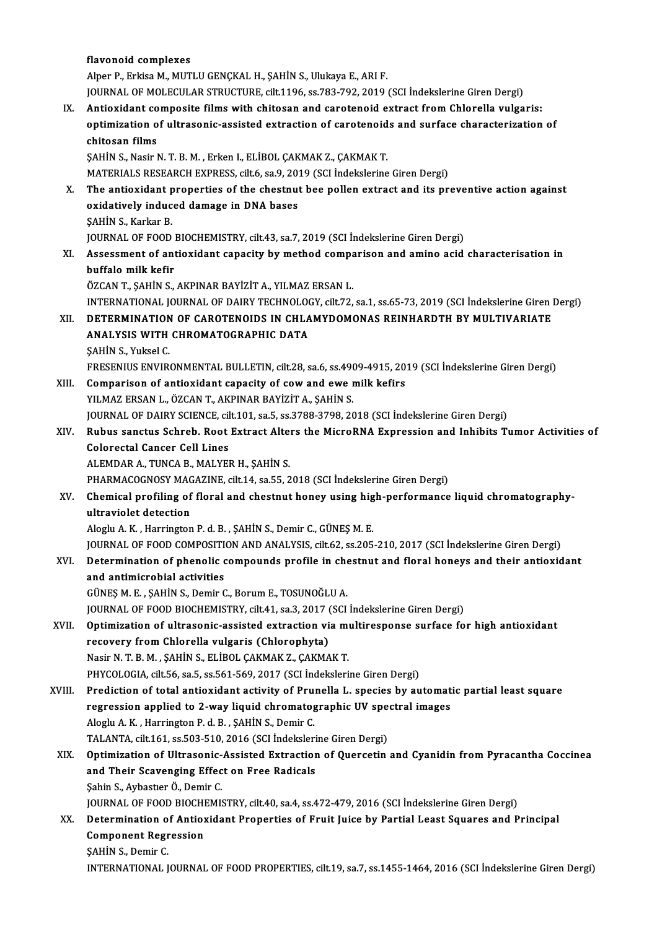flavonoid complexes Alper P., Erkisa M., MUTLU GENÇKAL H., ŞAHİN S., Ulukaya E., ARI F. JOURNAL OF MOLECULAR STRUCTURE, cilt.1196, ss.783-792, 2019 (SCI İndekslerine Giren Dergi) Alper P., Erkisa M., MUTLU GENÇKAL H., ŞAHİN S., Ulukaya E., ARI F.<br>JOURNAL OF MOLECULAR STRUCTURE, cilt.1196, ss.783-792, 2019 (SCI İndekslerine Giren Dergi)<br>IX. Antioxidant composite films with chitosan and carotenoide e optimization of ultrasonic-assisted extraction of carotenoids and surface characterization of **Antioxidant co<br>optimization o<br>chitosan films**<br>sauin s. Nasir l ŞAHİN S., Nasir N. T. B. M., Erken I., ELİBOL ÇAKMAK Z., ÇAKMAK T. MATERIALS RESEARCH EXPRESS, cilt.6, sa.9, 2019 (SCI İndekslerine Giren Dergi) X. The antioxidant properties of the chestnut bee pollen extract and its preventive action against MATERIALS RESEARCH EXPRESS, cilt.6, sa.9, 20<br>The antioxidant properties of the chestnu<br>oxidatively induced damage in DNA bases<br>SAHIN S. Karkar B The antioxidant p<br>oxidatively induc<br>SAHİN S., Karkar B.<br>JOUPNAL OF FOOD ŞAHİN S., Karkar B.<br>JOURNAL OF FOOD BIOCHEMISTRY, cilt.43, sa.7, 2019 (SCI İndekslerine Giren Dergi) \$AHİN S., Karkar B.<br>JOURNAL OF FOOD BIOCHEMISTRY, cilt.43, sa.7, 2019 (SCI İndekslerine Giren Dergi)<br>XI. Assessment of antioxidant capacity by method comparison and amino acid characterisation in<br>huffalo mill: kofir **JOURNAL OF FOOD**<br>Assessment of ant<br>buffalo milk kefir<br>ÖZCAN T. SAHIN S buffalo milk kefir<br>ÖZCAN T., ŞAHİN S., AKPINAR BAYİZİT A., YILMAZ ERSAN L. buffalo milk kefir<br>ÖZCAN T., ŞAHİN S., AKPINAR BAYİZİT A., YILMAZ ERSAN L.<br>INTERNATIONAL JOURNAL OF DAIRY TECHNOLOGY, cilt.72, sa.1, ss.65-73, 2019 (SCI İndekslerine Giren Dergi)<br>DETERMINATION OF CAROTENOIDS IN CHLAMYDOMON ÖZCAN T., ŞAHİN S., AKPINAR BAYİZİT A., YILMAZ ERSAN L.<br>INTERNATIONAL JOURNAL OF DAIRY TECHNOLOGY, cilt.72, sa.1, ss.65-73, 2019 (SCI İndekslerine Giren 1<br>XII. DETERMINATION OF CAROTENOIDS IN CHLAMYDOMONAS REINHARDTH BY MU INTERNATIONAL JOURNAL OF DAIRY TECHNOLOON<br>DETERMINATION OF CAROTENOIDS IN CHLA<br>ANALYSIS WITH CHROMATOGRAPHIC DATA XII. DETERMINATION OF CAROTENOIDS IN CHLAMYDOMONAS REINHARDTH BY MULTIVARIATE<br>ANALYSIS WITH CHROMATOGRAPHIC DATA<br>ŞAHİN S., Yuksel C. ANALYSIS WITH CHROMATOGRAPHIC DATA<br>ŞAHİN S., Yuksel C.<br>FRESENIUS ENVIRONMENTAL BULLETIN, cilt.28, sa.6, ss.4909-4915, 2019 (SCI İndekslerine Giren Dergi)<br>Camparisan of antiquidant sanasity of souvend que mill: kafirs XIII. Comparison of antioxidant capacity of cow and ewe milk kefirs<br>YILMAZ ERSAN L., ÖZCAN T., AKPINAR BAYİZİT A., ŞAHİN S. FRESENIUS ENVIRONMENTAL BULLETIN, cilt.28, sa.6, ss.490<br>Comparison of antioxidant capacity of cow and ewe r<br>YILMAZ ERSAN L., ÖZCAN T., AKPINAR BAYİZİT A., ŞAHİN S.<br>JOUPNAL OF DAJPY SCIENCE, silt 101, sə 5, ss.2799, 2799, 2 JOURNALOFDAIRYSCIENCE, cilt.101, sa.5, ss.3788-3798,2018 (SCI İndekslerineGirenDergi) YILMAZ ERSAN L., ÖZCAN T., AKPINAR BAYİZİT A., ŞAHİN S.<br>JOURNAL OF DAIRY SCIENCE, cilt.101, sa.5, ss.3788-3798, 2018 (SCI İndekslerine Giren Dergi)<br>XIV. Rubus sanctus Schreb. Root Extract Alters the MicroRNA Expression Colorectal Cancer Cell Lines<br>ALEMDAR A., TUNCA B., MALYER H., ŞAHİN S. Rubus sanctus Schreb. Root Extract Alter<br>Colorectal Cancer Cell Lines<br>ALEMDAR A., TUNCA B., MALYER H., ŞAHİN S.<br>PHAPMACOCNOSY MACAZINE silt 14, SR EE-2 PHARMACOGNOSY MAGAZINE, cilt.14, sa.55, 2018 (SCI İndekslerine Giren Dergi) ALEMDAR A., TUNCA B., MALYER H., ŞAHİN S.<br>PHARMACOGNOSY MAGAZINE, cilt.14, sa.55, 2018 (SCI İndekslerine Giren Dergi)<br>XV. Chemical profiling of floral and chestnut honey using high-performance liquid chromatography-<br>wit PHARMACOGNOSY MAC<br>Chemical profiling of<br>ultraviolet detection Chemical profiling of floral and chestnut honey using hig<br>ultraviolet detection<br>Aloglu A. K. , Harrington P. d. B. , ŞAHİN S., Demir C., GÜNEŞ M. E.<br>JOUPMAL OF FOOD COMPOSITION AND ANALYSIS silt 62, ss 205 ultraviolet detection<br>Aloglu A. K. , Harrington P. d. B. , ŞAHİN S., Demir C., GÜNEŞ M. E.<br>JOURNAL OF FOOD COMPOSITION AND ANALYSIS, cilt.62, ss.205-210, 2017 (SCI İndekslerine Giren Dergi) Aloglu A. K. , Harrington P. d. B. , ŞAHİN S., Demir C., GÜNEŞ M. E.<br>JOURNAL OF FOOD COMPOSITION AND ANALYSIS, cilt.62, ss.205-210, 2017 (SCI İndekslerine Giren Dergi)<br>XVI. Determination of phenolic compounds profile in ch JOURNAL OF FOOD COMPOSITI<br>Determination of phenolic condiantimicrobial activities Determination of phenolic compounds profile in che<br>and antimicrobial activities<br>GÜNEŞ M. E. , ŞAHİN S., Demir C., Borum E., TOSUNOĞLU A.<br>JOUPMAL OF FOOD PJOCHEMISTRY silt 4.1, S2,2, 2017 (SCL and antimicrobial activities<br>GÜNEŞ M. E. , ŞAHİN S., Demir C., Borum E., TOSUNOĞLU A.<br>JOURNAL OF FOOD BIOCHEMISTRY, cilt.41, sa.3, 2017 (SCI İndekslerine Giren Dergi)<br>Ontimiration of ultresenis assisted extraction via mult GÜNEŞ M. E. , ŞAHİN S., Demir C., Borum E., TOSUNOĞLU A.<br>JOURNAL OF FOOD BIOCHEMISTRY, cilt.41, sa.3, 2017 (SCI İndekslerine Giren Dergi)<br>XVII. Optimization of ultrasonic-assisted extraction via multiresponse surface for h JOURNAL OF FOOD BIOCHEMISTRY, cilt.41, sa.3, 2017 (<br>Optimization of ultrasonic-assisted extraction vi<br>recovery from Chlorella vulgaris (Chlorophyta)<br>Nasir N.T. B.M., SAHIN S. ELIBOL CAKMAK 7, CAKMA Nasir N.T. B.M., ŞAHİN S., ELİBOL ÇAKMAK Z., ÇAKMAK T. PHYCOLOGIA, cilt.56, sa.5, ss.561-569, 2017 (SCI İndekslerine Giren Dergi) XVIII. Prediction of total antioxidant activity of Prunella L. species by automatic partial least square PHYCOLOGIA, cilt.56, sa.5, ss.561-569, 2017 (SCI İndekslerine Giren Dergi)<br>Prediction of total antioxidant activity of Prunella L. species by automat<br>regression applied to 2-way liquid chromatographic UV spectral images<br>Al Prediction of total antioxidant activity of Pru:<br>regression applied to 2-way liquid chromatog<br>Aloglu A. K. , Harrington P. d. B. , ŞAHİN S., Demir C.<br>TALANTA silt 161 se 502 510 2016 (SCL indeksler regression applied to 2-way liquid chromatographic UV spe<br>Aloglu A. K. , Harrington P. d. B. , ŞAHİN S., Demir C.<br>TALANTA, cilt.161, ss.503-510, 2016 (SCI İndekslerine Giren Dergi)<br>Ontimization of Illtrasonia Assisted Extr Aloglu A. K. , Harrington P. d. B. , ŞAHİN S., Demir C.<br>TALANTA, cilt.161, ss.503-510, 2016 (SCI İndekslerine Giren Dergi)<br>XIX. Optimization of Ultrasonic-Assisted Extraction of Quercetin and Cyanidin from Pyracantha C TALANTA, cilt.161, ss.503-510, 2016 (SCI Indekslerine Giren Dergi)<br>Optimization of Ultrasonic-Assisted Extraction of Quercetin<br>and Their Scavenging Effect on Free Radicals<br>Sahin S., Aybastier Ö., Demir C. **Optimization of Ultrasonic-<br>and Their Scavenging Effec<br>Sahin S., Aybastıer Ö., Demir C.<br>JOUPMAL OF FOOD PIOCHEMI** and Their Scavenging Effect on Free Radicals<br>Şahin S., Aybastıer Ö., Demir C.<br>JOURNAL OF FOOD BIOCHEMISTRY, cilt.40, sa.4, ss.472-479, 2016 (SCI İndekslerine Giren Dergi)<br>Determination of Antioxidant Bronontiae of Emuit Ju Sahin S., Aybastier Ö., Demir C.<br>JOURNAL OF FOOD BIOCHEMISTRY, cilt.40, sa.4, ss.472-479, 2016 (SCI İndekslerine Giren Dergi)<br>XX. Determination of Antioxidant Properties of Fruit Juice by Partial Least Squares and Prin **JOURNAL OF FOOD BIOCHI**<br>Determination of Antios<br>Component Regression<br>SAHIN S. Domin C **Determination of<br>Component Regr<br>SAHİN S., Demir C.<br>INTERNATIONAL I** Component Regression<br>SAHİN S., Demir C.<br>INTERNATIONAL JOURNAL OF FOOD PROPERTIES, cilt.19, sa.7, ss.1455-1464, 2016 (SCI İndekslerine Giren Dergi)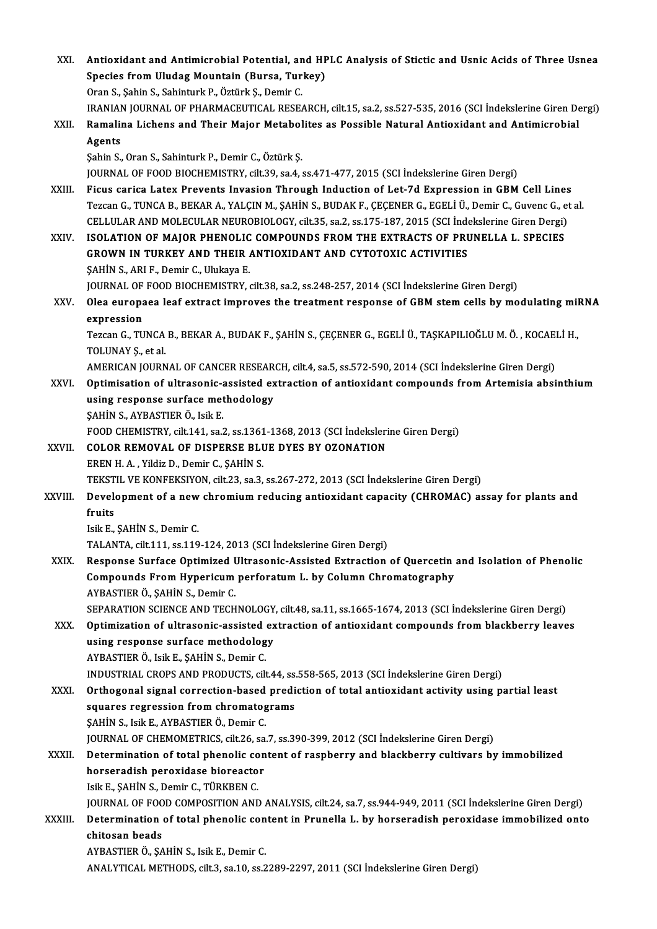| XXI.    | Antioxidant and Antimicrobial Potential, and HPLC Analysis of Stictic and Usnic Acids of Three Usnea                                                                                          |
|---------|-----------------------------------------------------------------------------------------------------------------------------------------------------------------------------------------------|
|         | Species from Uludag Mountain (Bursa, Turkey)                                                                                                                                                  |
|         | Oran S., Şahin S., Sahinturk P., Öztürk Ş., Demir C.                                                                                                                                          |
|         | IRANIAN JOURNAL OF PHARMACEUTICAL RESEARCH, cilt.15, sa.2, ss.527-535, 2016 (SCI Indekslerine Giren Dergi)                                                                                    |
| XXII.   | Ramalina Lichens and Their Major Metabolites as Possible Natural Antioxidant and Antimicrobial                                                                                                |
|         | Agents                                                                                                                                                                                        |
|         | Şahin S., Oran S., Sahinturk P., Demir C., Öztürk Ş.                                                                                                                                          |
| XXIII.  | JOURNAL OF FOOD BIOCHEMISTRY, cilt.39, sa.4, ss.471-477, 2015 (SCI Indekslerine Giren Dergi)<br>Ficus carica Latex Prevents Invasion Through Induction of Let-7d Expression in GBM Cell Lines |
|         | Tezcan G., TUNCA B., BEKAR A., YALÇIN M., ŞAHİN S., BUDAK F., ÇEÇENER G., EGELİ Ü., Demir C., Guvenc G., et al                                                                                |
|         | CELLULAR AND MOLECULAR NEUROBIOLOGY, cilt.35, sa.2, ss.175-187, 2015 (SCI İndekslerine Giren Dergi)                                                                                           |
| XXIV.   | ISOLATION OF MAJOR PHENOLIC COMPOUNDS FROM THE EXTRACTS OF PRUNELLA L. SPECIES                                                                                                                |
|         | GROWN IN TURKEY AND THEIR ANTIOXIDANT AND CYTOTOXIC ACTIVITIES                                                                                                                                |
|         | SAHIN S., ARI F., Demir C., Ulukaya E.                                                                                                                                                        |
|         | JOURNAL OF FOOD BIOCHEMISTRY, cilt.38, sa.2, ss.248-257, 2014 (SCI Indekslerine Giren Dergi)                                                                                                  |
| XXV.    | Olea europaea leaf extract improves the treatment response of GBM stem cells by modulating miRNA                                                                                              |
|         | expression                                                                                                                                                                                    |
|         | Tezcan G., TUNCA B., BEKAR A., BUDAK F., ŞAHİN S., ÇEÇENER G., EGELİ Ü., TAŞKAPILIOĞLU M. Ö., KOCAELİ H.,                                                                                     |
|         | TOLUNAY <i>Ş</i> , et al.                                                                                                                                                                     |
|         | AMERICAN JOURNAL OF CANCER RESEARCH, cilt.4, sa.5, ss.572-590, 2014 (SCI Indekslerine Giren Dergi)                                                                                            |
| XXVI.   | Optimisation of ultrasonic-assisted extraction of antioxidant compounds from Artemisia absinthium<br>using response surface methodology                                                       |
|         | ŞAHİN S., AYBASTIER Ö., Isik E.                                                                                                                                                               |
|         | FOOD CHEMISTRY, cilt.141, sa.2, ss.1361-1368, 2013 (SCI Indekslerine Giren Dergi)                                                                                                             |
| XXVII.  | COLOR REMOVAL OF DISPERSE BLUE DYES BY OZONATION                                                                                                                                              |
|         | EREN H. A., Yildiz D., Demir C., ŞAHİN S.                                                                                                                                                     |
|         | TEKSTIL VE KONFEKSIYON, cilt.23, sa.3, ss.267-272, 2013 (SCI İndekslerine Giren Dergi)                                                                                                        |
| XXVIII. | Development of a new chromium reducing antioxidant capacity (CHROMAC) assay for plants and                                                                                                    |
|         | fruits                                                                                                                                                                                        |
|         | Isik E , ŞAHİN S , Demir C                                                                                                                                                                    |
| XXIX.   | TALANTA, cilt.111, ss.119-124, 2013 (SCI İndekslerine Giren Dergi)<br>Response Surface Optimized Ultrasonic-Assisted Extraction of Quercetin and Isolation of Phenolic                        |
|         | Compounds From Hypericum perforatum L. by Column Chromatography                                                                                                                               |
|         | AYBASTIER Ö., ŞAHİN S., Demir C.                                                                                                                                                              |
|         | SEPARATION SCIENCE AND TECHNOLOGY, cilt.48, sa.11, ss.1665-1674, 2013 (SCI İndekslerine Giren Dergi)                                                                                          |
| XXX.    | Optimization of ultrasonic-assisted extraction of antioxidant compounds from blackberry leaves                                                                                                |
|         | using response surface methodology                                                                                                                                                            |
|         | AYBASTIER Ö., Isik E., ŞAHİN S., Demir C.                                                                                                                                                     |
|         | INDUSTRIAL CROPS AND PRODUCTS, cilt.44, ss.558-565, 2013 (SCI Indekslerine Giren Dergi)                                                                                                       |
| XXXI.   | Orthogonal signal correction-based prediction of total antioxidant activity using partial least                                                                                               |
|         | squares regression from chromatograms                                                                                                                                                         |
|         | ŞAHİN S., Isik E., AYBASTIER Ö., Demir C.                                                                                                                                                     |
| XXXII.  | JOURNAL OF CHEMOMETRICS, cilt.26, sa.7, ss.390-399, 2012 (SCI Indekslerine Giren Dergi)<br>Determination of total phenolic content of raspberry and blackberry cultivars by immobilized       |
|         | horseradish peroxidase bioreactor                                                                                                                                                             |
|         | Isik E., ŞAHİN S., Demir C., TÜRKBEN C.                                                                                                                                                       |
|         | JOURNAL OF FOOD COMPOSITION AND ANALYSIS, cilt.24, sa.7, ss.944-949, 2011 (SCI Indekslerine Giren Dergi)                                                                                      |
| XXXIII. | Determination of total phenolic content in Prunella L. by horseradish peroxidase immobilized onto                                                                                             |
|         | chitosan beads                                                                                                                                                                                |
|         | AYBASTIER Ö., ŞAHİN S., Isik E., Demir C.                                                                                                                                                     |
|         | ANALYTICAL METHODS, cilt.3, sa.10, ss.2289-2297, 2011 (SCI Indekslerine Giren Dergi)                                                                                                          |
|         |                                                                                                                                                                                               |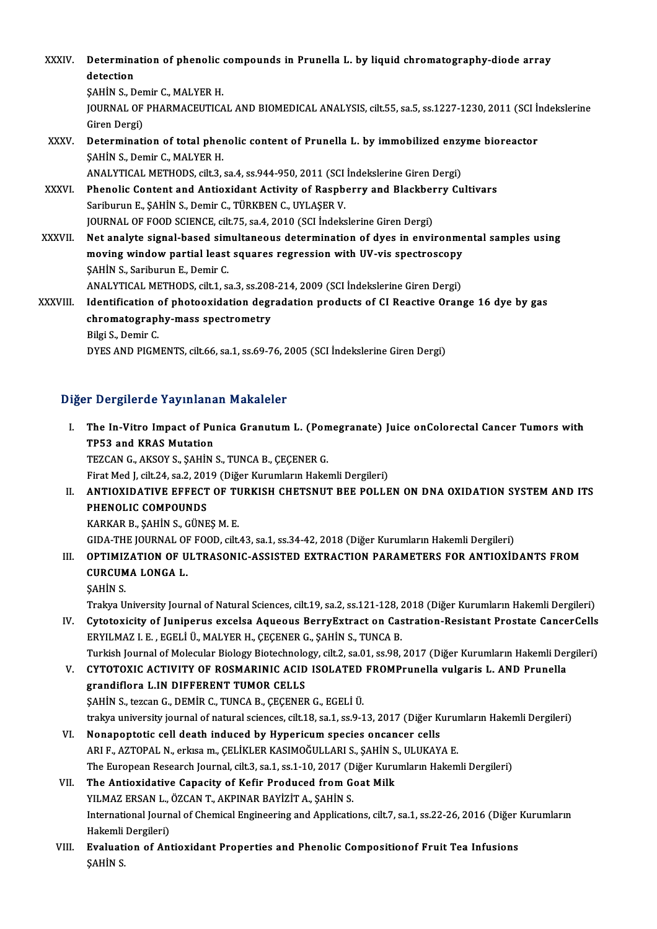XXXIV. Determination of phenolic compounds in Prunella L. by liquid chromatography-diode array<br>detection Determina<br>detection<br>sauins D **Determination of phenolic<br>detection<br>SAHİN S., Demir C., MALYER H.<br>JOUPMAL OF PHAPMACEUTICA** detection<br>ŞAHİN S., Demir C., MALYER H.<br>JOURNAL OF PHARMACEUTICAL AND BIOMEDICAL ANALYSIS, cilt.55, sa.5, ss.1227-1230, 2011 (SCI İndekslerine<br>Giren Dergi) SAHIN S., Der<br>JOURNAL OF<br>Giren Dergi)<br>Determinati JOURNAL OF PHARMACEUTICAL AND BIOMEDICAL ANALYSIS, cilt.55, sa.5, ss.1227-1230, 2011 (SCI İn<br>Giren Dergi)<br>XXXV. Determination of total phenolic content of Prunella L. by immobilized enzyme bioreactor<br>SAHIN S. Domir G. M Giren Dergi)<br>Determination of total pher<br>ŞAHİN S., Demir C., MALYER H.<br>ANALYTICAL METHODS. cilt 3 Determination of total phenolic content of Prunella L. by immobilized enzy<br>SAHİN S., Demir C., MALYER H.<br>ANALYTICAL METHODS, cilt.3, sa.4, ss.944-950, 2011 (SCI İndekslerine Giren Dergi)<br>Phenolis Content and Antioxident Ac SAHİN S., Demir C., MALYER H.<br>ANALYTICAL METHODS, cilt.3, sa.4, ss.944-950, 2011 (SCI İndekslerine Giren Dergi)<br>XXXVI. Phenolic Content and Antioxidant Activity of Raspberry and Blackberry Cultivars<br>Sarihurun E. SAHİN S. D ANALYTICAL METHODS, cilt.3, sa.4, ss.944-950, 2011 (SCI İndekslerine Giren Dergi)<br>Phenolic Content and Antioxidant Activity of Raspberry and Blackberry Cu<br>Sariburun E., ŞAHİN S., Demir C., TÜRKBEN C., UYLAŞER V.<br>JOURNAL OF Phenolic Content and Antioxidant Activity of Raspberry and Blackber<br>Sariburun E., ŞAHİN S., Demir C., TÜRKBEN C., UYLAŞER V.<br>JOURNAL OF FOOD SCIENCE, cilt.75, sa.4, 2010 (SCI İndekslerine Giren Dergi)<br>Net analyte signal ba XXXVII. Net analyte signal-based simultaneous determination of dyes in environmental samples using JOURNAL OF FOOD SCIENCE, cilt.75, sa.4, 2010 (SCI İndekslerine Giren Dergi)<br>Net analyte signal-based simultaneous determination of dyes in environme<br>moving window partial least squares regression with UV-vis spectroscopy<br>S Net analyte signal-based sim<br>moving window partial least<br>ŞAHİN S., Sariburun E., Demir C.<br>ANALYTICAL METHODS silt 1-8 moving window partial least squares regression with UV-vis spectroscopy<br>SAHİN S., Sariburun E., Demir C.<br>ANALYTICAL METHODS, cilt.1, sa.3, ss.208-214, 2009 (SCI İndekslerine Giren Dergi)<br>Identification of photoevidation de \$AHIN S., Sariburun E., Demir C.<br>ANALYTICAL METHODS, cilt.1, sa.3, ss.208-214, 2009 (SCI Indekslerine Giren Dergi)<br>XXXVIII. Identification of photooxidation degradation products of CI Reactive Orange 16 dye by gas ANALYTICAL METHODS, cilt.1, sa.3, ss.208<br>Identification of photooxidation degr<br>chromatography-mass spectrometry<br><sup>Bilgi S.</sup> Damir C chromatography-mass spectrometry<br>Bilgi S., Demir C. DYES AND PIGMENTS, cilt.66, sa.1, ss.69-76, 2005 (SCI İndekslerine Giren Dergi)

## Diğer Dergilerde Yayınlanan Makaleler

- Iger Dergilerde Yayınlanan Makaleler<br>I. The In-Vitro Impact of Punica Granutum L. (Pomegranate) Juice onColorectal Cancer Tumors with<br>TRE2 and KRAS Mutation The In-Vitro Impact of Pu<br>TP53 and KRAS Mutation<br>TEZCAN C AVSOV S SAHIN TP53 and KRAS Mutation<br>TEZCAN G., AKSOY S., ŞAHİN S., TUNCA B., ÇEÇENER G. TP53 and KRAS Mutation<br>TEZCAN G., AKSOY S., ŞAHİN S., TUNCA B., ÇEÇENER G.<br>Firat Med J, cilt.24, sa.2, 2019 (Diğer Kurumların Hakemli Dergileri)<br>ANTIOYIDATIVE EEEECT OF TURKISH CHETSNUT BEE POLLE
- II. ANTIOXIDATIVE EFFECT OF TURKISH CHETSNUT BEE POLLEN ON DNA OXIDATION SYSTEM AND ITS<br>PHENOLIC COMPOUNDS Firat Med J, cilt.24, sa.2, 201<br>ANTIOXIDATIVE EFFECT<br>PHENOLIC COMPOUNDS<br>KARKAR R, SAHIN S, CÜNE KARKARB.,ŞAHİNS.,GÜNEŞM.E. PHENOLIC COMPOUNDS<br>KARKAR B., ŞAHİN S., GÜNEŞ M. E.<br>GIDA-THE JOURNAL OF FOOD, cilt.43, sa.1, ss.34-42, 2018 (Diğer Kurumların Hakemli Dergileri)<br>OPTIMIZATION OF III TRASONIC ASSISTED EVTRACTION RARAMETERS EOR ANTIOVID

I I. OPTIMIZATION OF ULTRASONIC-ASSISTED EXTRACTION PARAMETERS FOR ANTIOXİDANTS FROM GIDA-THE JOURNAL OF<br>OPTIMIZATION OF U<br>CURCUMA LONGA L.<br>SAHIN S OPTIMIZ<br>CURCUM<br>ŞAHİN S.<br>Trakve H CURCUMA LONGA L.<br>ŞAHİN S.<br>Trakya University Journal of Natural Sciences, cilt.19, sa.2, ss.121-128, 2018 (Diğer Kurumların Hakemli Dergileri)<br>Cutatovisity of Juniperus exselse Asusous BonyyEytrast en Castration Besistant B

SAHIN S.<br>ITakya University Journal of Natural Sciences, cilt.19, sa.2, ss.121-128, 2018 (Diğer Kurumların Hakemli Dergileri)<br>IV. Cytotoxicity of Juniperus excelsa Aqueous BerryExtract on Castration-Resistant Prostate C Trakya University Journal of Natural Sciences, cilt.19, sa.2, ss.121-128, 2<br>Cytotoxicity of Juniperus excelsa Aqueous BerryExtract on Cas<br>ERYILMAZ I. E. , EGELİ Ü., MALYER H., ÇEÇENER G., ŞAHİN S., TUNCA B.<br>Turkish Journal IV. Cytotoxicity of Juniperus excelsa Aqueous BerryExtract on Castration-Resistant Prostate CancerCells<br>ERYILMAZ I. E., EGELI Ü., MALYER H., ÇEÇENER G., ŞAHIN S., TUNCA B.<br>Turkish Journal of Molecular Biology Biotechnology

ERYILMAZ I. E. , EGELİ Ü., MALYER H., ÇEÇENER G., ŞAHİN S., TUNCA B.<br>Turkish Journal of Molecular Biology Biotechnology, cilt.2, sa.01, ss.98, 2017 (Diğer Kurumların Hakemli Der<br>V. CYTOTOXIC ACTIVITY OF ROSMARINIC ACID Turkish Journal of Molecular Biology Biotechnolo<br>CYTOTOXIC ACTIVITY OF ROSMARINIC ACID<br>grandiflora L.IN DIFFERENT TUMOR CELLS<br>SAHIN S. teggen G. DEMIR G. TUNGA B. CECENER CYTOTOXIC ACTIVITY OF ROSMARINIC ACID ISOLATED<br>grandiflora L.IN DIFFERENT TUMOR CELLS<br>ŞAHİN S., tezcan G., DEMİR C., TUNCA B., ÇEÇENER G., EGELİ Ü.<br>trakya university journal of natural sciences, silt 18, sa 1, sa 9, 1 grandiflora L.IN DIFFERENT TUMOR CELLS<br>ŞAHİN S., tezcan G., DEMİR C., TUNCA B., ÇEÇENER G., EGELİ Ü.<br>trakya university journal of natural sciences, cilt.18, sa.1, ss.9-13, 2017 (Diğer Kurumların Hakemli Dergileri)<br>Nenanont SAHIN S., tezcan G., DEMIR C., TUNCA B., ÇEÇENER G., EGELI Ü.<br>trakya university journal of natural sciences, cilt.18, sa.1, ss.9-13, 2017 (Diğer Kuruı<br>VI. Nonapoptotic cell death induced by Hypericum species oncancer cells

- trakya university journal of natural sciences, cilt.18, sa.1, ss.9-13, 2017 (Diğer Kurun)<br>Nonapoptotic cell death induced by Hypericum species oncancer cells<br>ARI F., AZTOPAL N., erkısa m., ÇELİKLER KASIMOĞULLARI S., ŞAHİN Nonapoptotic cell death induced by Hypericum species oncancer cells<br>ARI F., AZTOPAL N., erkısa m., ÇELİKLER KASIMOĞULLARI S., ŞAHİN S., ULUKAYA E.<br>The European Research Journal, cilt.3, sa.1, ss.1-10, 2017 (Diğer Kurumları ARI F., AZTOPAL N., erkısa m., ÇELİKLER KASIMOĞULLARI S., ŞAHİN S<br>The European Research Journal, cilt.3, sa.1, ss.1-10, 2017 (Diğer Kuru<br>VII. The Antioxidative Capacity of Kefir Produced from Goat Milk<br>VII. MAZERSAN L. ÖZC
- The European Research Journal, cilt.3, sa.1, ss.1-10, 2017 (D<br>The Antioxidative Capacity of Kefir Produced from G<br>YILMAZ ERSAN L., ÖZCAN T., AKPINAR BAYİZİT A., ŞAHİN S.<br>International Journal of Chemical Engineering and An The Antioxidative Capacity of Kefir Produced from Goat Milk<br>YILMAZ ERSAN L., ÖZCAN T., AKPINAR BAYİZİT A., ŞAHİN S.<br>International Journal of Chemical Engineering and Applications, cilt.7, sa.1, ss.22-26, 2016 (Diğer Kuruml YILMAZ ERSAN L.,<br>International Journ<br>Hakemli Dergileri)<br>Eveluation of Art International Journal of Chemical Engineering and Applications, cilt.7, sa.1, ss.22-26, 2016 (Diğer :<br>Hakemli Dergileri)<br>VIII. Evaluation of Antioxidant Properties and Phenolic Compositionof Fruit Tea Infusions<br>SALUN S
- Hakemli<br><mark>Evaluat</mark>i<br>ŞAHİN S.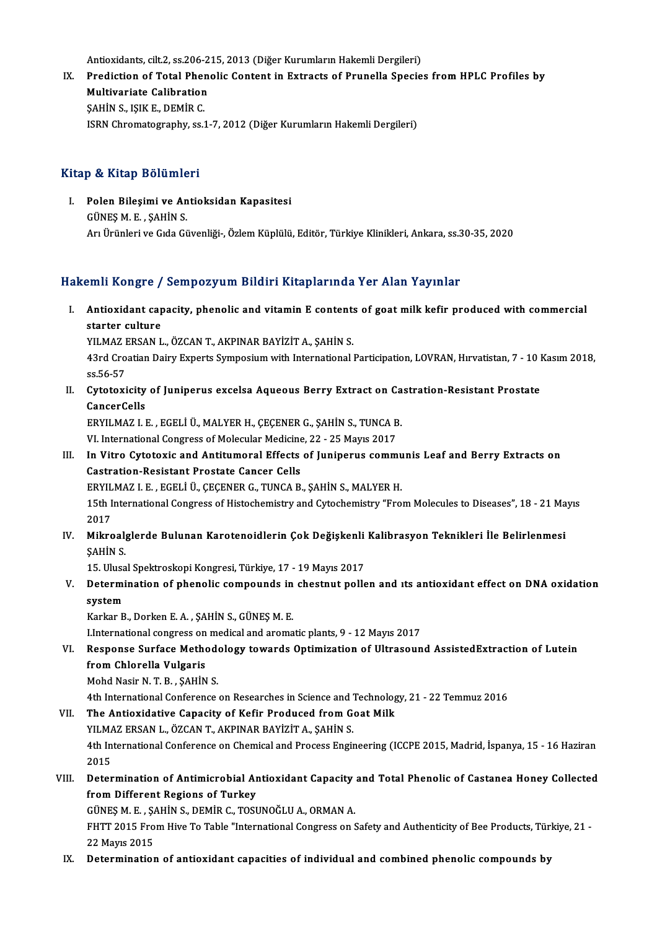Antioxidants, cilt.2, ss.206-215, 2013 (Diğer Kurumların Hakemli Dergileri)<br>Predistion of Total Phanolis Contant in Extrasta of Prunalla Sposia

Antioxidants, cilt.2, ss.206-215, 2013 (Diğer Kurumların Hakemli Dergileri)<br>IX. Prediction of Total Phenolic Content in Extracts of Prunella Species from HPLC Profiles by Antioxidants, cilt.2, ss.206-2<br>Prediction of Total Phen<br>Multivariate Calibration<br>SAHIN S. JSIVE, DEMIR C Prediction of Total Pher<br>Multivariate Calibration<br>ŞAHİN S., IŞIK E., DEMİR C.<br>ISBN Chromatography ce 1 Multivariate Calibration<br>ŞAHİN S., IŞIK E., DEMİR C.<br>ISRN Chromatography, ss.1-7, 2012 (Diğer Kurumların Hakemli Dergileri)

#### Kitap & Kitap Bölümleri

Itap & Kitap Bölümleri<br>I. Polen Bileşimi ve Antioksidan Kapasitesi<br>CÜNES M.E. SAHİN S Per Straup Botanics<br>Polen Bileşimi ve An<br>GÜNEŞ M. E., ŞAHİN S. GÜNEŞ M. E. , ŞAHİN S.<br>Arı Ürünleri ve Gıda Güvenliği-, Özlem Küplülü, Editör, Türkiye Klinikleri, Ankara, ss.30-35, 2020

## Hakemli Kongre / Sempozyum Bildiri Kitaplarında Yer Alan Yayınlar

akemli Kongre / Sempozyum Bildiri Kitaplarında Yer Alan Yayınlar<br>I. Antioxidant capacity, phenolic and vitamin E contents of goat milk kefir produced with commercial<br>Antioxidant capacity, phenolic and vitamin E contents of start Rongrey<br>Antioxidant cap<br>starter culture<br>VILMAZ ERSAN L Antioxidant capacity, phenolic and vitamin E contents<br>starter culture<br>YILMAZ ERSAN L., ÖZCAN T., AKPINAR BAYİZİT A., ŞAHİN S.<br>43rd Creatian Dairy Experts Sympesium vitb International

starter culture<br>YILMAZ ERSAN L., ÖZCAN T., AKPINAR BAYİZİT A., ŞAHİN S.<br>43rd Croatian Dairy Experts Symposium with International Participation, LOVRAN, Hırvatistan, 7 - 10 Kasım 2018,<br>ss.56-57 YILMAZ<br>43rd Cro<br>ss.56-57<br>Cytataxi 43rd Croatian Dairy Experts Symposium with International Participation, LOVRAN, Hırvatistan, 7 - 10 | ss.56-57<br>II. Cytotoxicity of Juniperus excelsa Aqueous Berry Extract on Castration-Resistant Prostate<br>CancerCalls

ss.56-57<br>Cytotoxicity<br>CancerCells<br>EPVU MAZ LI Cytotoxicity of Juniperus excelsa Aqueous Berry Extract on Ca<br>CancerCells<br>ERYILMAZ I. E. , EGELİ Ü., MALYER H., ÇEÇENER G., ŞAHİN S., TUNCA B.<br>VI. International Congress of Molecular Medicine, 22, .25 Mayıs 2017

CancerCells<br>ERYILMAZ I. E. , EGELİ Ü., MALYER H., ÇEÇENER G., ŞAHİN S., TUNCA B.

VI. International Congress of Molecular Medicine, 22 - 25 Mayıs 2017

- III. In Vitro Cytotoxic and Antitumoral Effects of Juniperus communis Leaf and Berry Extracts on<br>Castration-Resistant Prostate Cancer Cells In Vitro Cytotoxic and Antitumoral Effects of Juniperus commu<br>Castration-Resistant Prostate Cancer Cells<br>ERYILMAZ I. E. , EGELİ Ü., ÇEÇENER G., TUNCA B., ŞAHİN S., MALYER H.<br>15th International Congress of Histoshemistry an 15th International Congress of Histochemistry and Cytochemistry "From Molecules to Diseases", 18 - 21 Mayıs<br>2017 ERYIL<br>15th I<br>2017<br>Milre 15th International Congress of Histochemistry and Cytochemistry "From Molecules to Diseases", 18 - 21 Ma<br>2017<br>IV. Mikroalglerde Bulunan Karotenoidlerin Çok Değişkenli Kalibrasyon Teknikleri İle Belirlenmesi<br>SAHİN S
- 2017<br>Mikroal<sub>i</sub><br>ŞAHİN S.<br><sup>15. Huxo</sub></sup> Mikroalglerde Bulunan Karotenoidlerin Çok Değişkenli<br>ŞAHİN S.<br>15. Ulusal Spektroskopi Kongresi, Türkiye, 17 - 19 Mayıs 2017<br>Petermination of nhanelis semnevude in shestnut pelle

SAHIN S.<br>15. Ulusal Spektroskopi Kongresi, Türkiye, 17 - 19 Mayıs 2017<br>V. Determination of phenolic compounds in chestnut pollen and ıts antioxidant effect on DNA oxidation<br>system 15. Ulusa<br>Determi<br>system<br><sup>Karkar</sub> p</sup> Determination of phenolic compounds in<br>system<br>Karkar B., Dorken E. A. , ŞAHİN S., GÜNEŞ M. E.<br>Unternational congress en medical and arema system<br>Karkar B., Dorken E. A. , ŞAHİN S., GÜNEŞ M. E.<br>LInternational congress on medical and aromatic plants, 9 - 12 Mayıs 2017<br>Bespense Surface Methodology towards Ontimization of Ultraseun

Karkar B., Dorken E. A. , ŞAHİN S., GÜNEŞ M. E.<br>I.International congress on medical and aromatic plants, 9 - 12 Mayıs 2017<br>VI. Response Surface Methodology towards Optimization of Ultrasound AssistedExtraction of Lutein<br>fr **I.International congress on<br>Response Surface Methor<br>from Chlorella Vulgaris<br>Mobd Nasir N.T. B., SAHİN** Response Surface Method<br>from Chlorella Vulgaris<br>Mohd Nasir N. T. B. , ŞAHİN S.<br>4th International Conference from Chlorella Vulgaris<br>Mohd Nasir N. T. B. , ŞAHİN S.<br>4th International Conference on Researches in Science and Technology, 21 - 22 Temmuz 2016

- Mohd Nasir N. T. B., ŞAHİN S.<br>4th International Conference on Researches in Science and Technolog<br>VII. The Antioxidative Capacity of Kefir Produced from Goat Milk<br>VII. MAZERSAN L. ÖZCAN T. AKPINAR RAVIZIT A. SAHİN S. 4th International Conference on Researches in Science and T<br>The Antioxidative Capacity of Kefir Produced from G<br>YILMAZ ERSAN L., ÖZCAN T., AKPINAR BAYİZİT A., ŞAHİN S.<br>4th International Conference on Chemisel and Progess E 4th International Conference on Chemical and Process Engineering (ICCPE 2015, Madrid, İspanya, 15 - 16 Haziran<br>2015 YILMAZ ERSAN L., ÖZCAN T., AKPINAR BAYİZİT A., ŞAHİN S. 4th International Conference on Chemical and Process Engineering (ICCPE 2015, Madrid, İspanya, 15 - 16 Haziran<br>2015<br>VIII. Determination of Antimicrobial Antioxidant Capacity and Total Phenolic of Castanea Honey Collected<br>f
- 2015<br>Determination of Antimicrobial Ar<br>from Different Regions of Turkey<br>C<sup>ünre</sup> M.E. SAH<sup>in C. DEM<sup>in C.</sup> TOSI</sup> Determination of Antimicrobial Antioxidant Capacity<br>from Different Regions of Turkey<br>GÜNEŞ M. E. , ŞAHİN S., DEMİR C., TOSUNOĞLU A., ORMAN A.<br>EHTT 2015 Erem Hive Te Teble "International Congress on S

from Different Regions of Turkey<br>GÜNEŞ M. E. , ŞAHİN S., DEMİR C., TOSUNOĞLU A., ORMAN A.<br>FHTT 2015 From Hive To Table "International Congress on Safety and Authenticity of Bee Products, Türkiye, 21 -<br>22 Mayıs 2015 GÜNEŞ M. E. , Ş/<br>FHTT 2015 Fro<br>22 Mayıs 2015<br>Determination FHTT 2015 From Hive To Table "International Congress on Safety and Authenticity of Bee Products, Tür<br>22 Mayıs 2015<br>IX. Determination of antioxidant capacities of individual and combined phenolic compounds by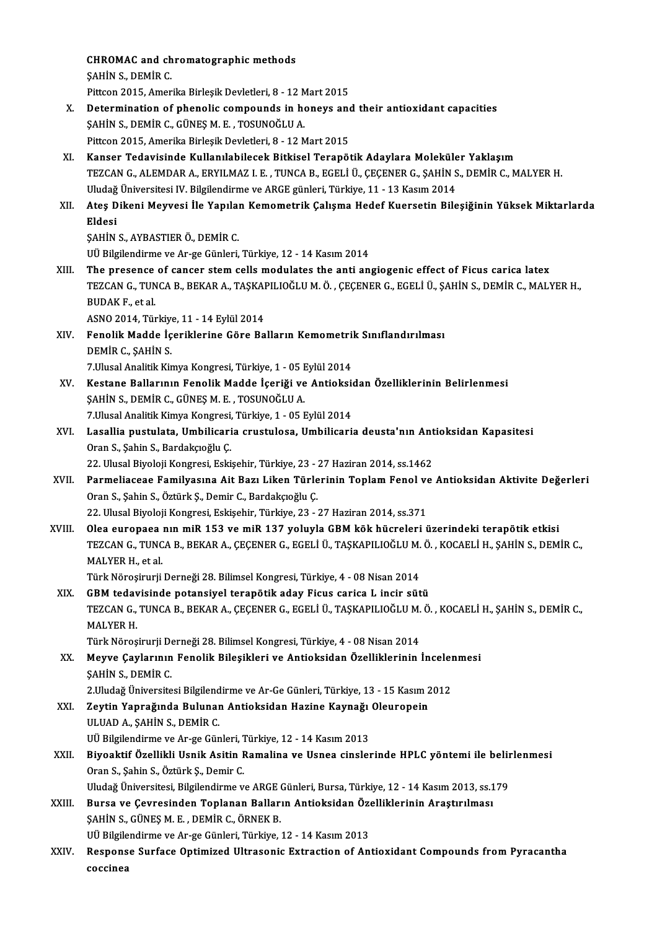CHROMAC and chromatographic methods<br>SAHIN S. DEMIR C **CHROMAC and ch**<br>ŞAHİN S., DEMİR C.<br>Pitteon 2015. Amer \$AHİN S., DEMİR C.<br>Pittcon 2015, Amerika Birleşik Devletleri, 8 - 12 Mart 2015 SAHIN S., DEMIR C.<br>Pittcon 2015, Amerika Birleşik Devletleri, 8 - 12 Mart 2015<br>X. Determination of phenolic compounds in honeys and their antioxidant capacities<br>SAHIN S. DEMIR C. CÜNES M. E. TOSUNOČLU A Pittcon 2015, Amerika Birleşik Devletleri, 8 - 12 M<br>Determination of phenolic compounds in ho<br>ŞAHİN S., DEMİR C., GÜNEŞ M. E. , TOSUNOĞLU A.<br>Pittcon 2015, Amerika Birleşik Devletleri, 8 - 12 M Determination of phenolic compounds in honeys and<br>SAHİN S., DEMİR C., GÜNEŞ M. E. , TOSUNOĞLU A.<br>Pittcon 2015, Amerika Birleşik Devletleri, 8 - 12 Mart 2015<br>Kanser Tedevisinde Kullanılabilesek Bitkisel Terenöj SAHİN S., DEMİR C., GÜNEŞ M. E. , TOSUNOĞLU A.<br>Pittcon 2015, Amerika Birleşik Devletleri, 8 - 12 Mart 2015<br>XI. Kanser Tedavisinde Kullanılabilecek Bitkisel Terapötik Adaylara Moleküler Yaklaşım TEZCANG.,ALEMDARA.,ERYILMAZ I.E. ,TUNCAB.,EGELİÜ.,ÇEÇENERG.,ŞAHİNS.,DEMİRC.,MALYERH. Kanser Tedavisinde Kullanılabilecek Bitkisel Terapötik Adaylara Moleküle<br>TEZCAN G., ALEMDAR A., ERYILMAZ I. E. , TUNCA B., EGELİ Ü., ÇEÇENER G., ŞAHİN S<br>Uludağ Üniversitesi IV. Bilgilendirme ve ARGE günleri, Türkiye, 11 - TEZCAN G., ALEMDAR A., ERYILMAZ I. E. , TUNCA B., EGELİ Ü., ÇEÇENER G., ŞAHİN S., DEMİR C., MALYER H.<br>Uludağ Üniversitesi IV. Bilgilendirme ve ARGE günleri, Türkiye, 11 - 13 Kasım 2014<br>XII. Ateş Dikeni Meyvesi İle Yapı Uludağ<br><mark>Ateş D</mark><br>Eldesi<br>sayin Ateş Dikeni Meyvesi İle Yapılaı<br>Eldesi<br>ŞAHİN S., AYBASTIER Ö., DEMİR C.<br>III Bilgilandirma va Ar ge Günleri Eldesi<br>ŞAHİN S., AYBASTIER Ö., DEMİR C.<br>UÜ Bilgilendirme ve Ar-ge Günleri, Türkiye, 12 - 14 Kasım 2014 SAHIN S., AYBASTIER Ö., DEMIR C.<br>UÜ Bilgilendirme ve Ar-ge Günleri, Türkiye, 12 - 14 Kasım 2014<br>XIII. The presence of cancer stem cells modulates the anti angiogenic effect of Ficus carica latex<br>TEZCAN C. TUNCA B. BEKAR A. UÜ Bilgilendirme ve Ar-ge Günleri, Türkiye, 12 - 14 Kasım 2014<br>The presence of cancer stem cells modulates the anti angiogenic effect of Ficus carica latex<br>TEZCAN G., TUNCA B., BEKAR A., TAŞKAPILIOĞLU M. Ö. , ÇEÇENER G., E The presence<br>TEZCAN G., TUN<br>BUDAK F., et al.<br>ASNO 2014, Tür TEZCAN G., TUNCA B., BEKAR A., TAŞKAI<br>BUDAK F., et al.<br>ASNO 2014, Türkiye, 11 - 14 Eylül 2014<br>Eanalik Madda İsaniklanına Göna Ba BUDAK F., et al.<br>ASNO 2014, Türkiye, 11 - 14 Eylül 2014<br>XIV. Fenolik Madde İçeriklerine Göre Balların Kemometrik Sınıflandırılması DEMİR C., ŞAHİN S. Fenolik Madde İçeriklerine Göre Balların Kemometril<br>DEMİR C., ŞAHİN S.<br>7.Ulusal Analitik Kimya Kongresi, Türkiye, 1 - 05 Eylül 2014<br>Kostana Ballarının Fanalik Madda İsariği ve Antioksi XV. Kestane Ballarının Fenolik Madde İçeriği ve Antioksidan Özelliklerinin Belirlenmesi<br>ŞAHİN S., DEMİR C., GÜNEŞ M. E., TOSUNOĞLU A. 7.Ulusal Analitik Kimya Kongresi, Türkiye, 1 - 05 I<br>Kestane Ballarının Fenolik Madde İçeriği ve<br>ŞAHİN S., DEMİR C., GÜNEŞ M. E. , TOSUNOĞLU A.<br>7 Husal Analitik Kimya Kongresi, Türkiye 1, 05 E Kestane Ballarının Fenolik Madde İçeriği ve Antioksi<br>ŞAHİN S., DEMİR C., GÜNEŞ M. E. , TOSUNOĞLU A.<br>7.Ulusal Analitik Kimya Kongresi, Türkiye, 1 - 05 Eylül 2014<br>Lasallia pustulata, Umbilisaria srustulasa, Umbilisari ŞAHİN S., DEMİR C., GÜNEŞ M. E. , TOSUNOĞLU A.<br>7.Ulusal Analitik Kimya Kongresi, Türkiye, 1 - 05 Eylül 2014<br>XVI. Lasallia pustulata, Umbilicaria crustulosa, Umbilicaria deusta'nın Antioksidan Kapasitesi<br>Oran S. Sabin S 7.Ulusal Analitik Kimya Kongresi,<br>Lasallia pustulata, Umbilicari<br>Oran S., Şahin S., Bardakçıoğlu Ç.<br>22. Ulusal Biyoloji Kongresi, Feki Lasallia pustulata, Umbilicaria crustulosa, Umbilicaria deusta'nın Ant<br>Oran S., Şahin S., Bardakçıoğlu Ç.<br>22. Ulusal Biyoloji Kongresi, Eskişehir, Türkiye, 23 - 27 Haziran 2014, ss.1462<br>Barmaliassasa Familyasına Ait Barı L Oran S., Şahin S., Bardakçıoğlu Ç.<br>22. Ulusal Biyoloji Kongresi, Eskişehir, Türkiye, 23 - 27 Haziran 2014, ss.1462<br>XVII. Parmeliaceae Familyasına Ait Bazı Liken Türlerinin Toplam Fenol ve Antioksidan Aktivite Değerleri 22. Ulusal Biyoloji Kongresi, Eskişehir, Türkiye, 23 - 27 Haziran 2014, ss.1462 22. Ulusal Biyoloji Kongresi, Eskişehir, Türkiye, 23 - 27 Haziran 2014, ss.371 Oran S., Şahin S., Öztürk Ş., Demir C., Bardakçıoğlu Ç.<br>22. Ulusal Biyoloji Kongresi, Eskişehir, Türkiye, 23 - 27 Haziran 2014, ss.371<br>XVIII. Olea europaea nın miR 153 ve miR 137 yoluyla GBM kök hücreleri üzerindeki te TEZCAN G., TUNCA B., BEKAR A., ÇEÇENER G., EGELİ Ü., TAŞKAPILIOĞLU M. Ö. , KOCAELİ H., ŞAHİN S., DEMİR C.,<br>MALYER H., et al. Olea europaea<br>TEZCAN G., TUNC<br>MALYER H., et al.<br>Türk Nörosinuni TEZCAN G., TUNCA B., BEKAR A., ÇEÇENER G., EGELİ Ü., TAŞKAPILIOĞLU M.<br>MALYER H., et al.<br>Türk Nöroşirurji Derneği 28. Bilimsel Kongresi, Türkiye, 4 - 08 Nisan 2014<br>CBM tedavisinde potensiyal terenêtik aday Fisus serise L. i MALYER H., et al.<br>Türk Nöroşirurji Derneği 28. Bilimsel Kongresi, Türkiye, 4 - 08 Nisan 2014<br>XIX. GBM tedavisinde potansiyel terapötik aday Ficus carica L incir sütü<br>TEZCAN C. TUNCA B. BEKAR A. CECENER C. ECELLÜ TASKARILIQ Türk Nöroşirurji Derneği 28. Bilimsel Kongresi, Türkiye, 4 - 08 Nisan 2014<br>GBM tedavisinde potansiyel terapötik aday Ficus carica L incir sütü<br>TEZCAN G., TUNCA B., BEKAR A., ÇEÇENER G., EGELİ Ü., TAŞKAPILIOĞLU M. Ö. , KOCA **GBM teday<br>TEZCAN G.,<br>MALYER H.<br>Türk Näros** TEZCAN G., TUNCA B., BEKAR A., ÇEÇENER G., EGELİ Ü., TAŞKAPILIOĞLU M.<br>MALYER H.<br>Türk Nöroşirurji Derneği 28. Bilimsel Kongresi, Türkiye, 4 - 08 Nisan 2014<br>Mauye Caylarının Fenalik Bilesikleri ve Antioksidan Özelliklerinin MALYER H.<br>Türk Nöroşirurji Derneği 28. Bilimsel Kongresi, Türkiye, 4 - 08 Nisan 2014<br>XX. Meyve Çaylarının Fenolik Bileşikleri ve Antioksidan Özelliklerinin İncelenmesi<br>SAHİN S. DEMİP C Türk Nöroşirurji De<br><mark>Meyve Çaylarının</mark><br>ŞAHİN S., DEMİR C.<br>2 Hudağ Üniversite Meyve Çaylarının Fenolik Bileşikleri ve Antioksidan Özelliklerinin İnceler<br>ŞAHİN S., DEMİR C.<br>2.Uludağ Üniversitesi Bilgilendirme ve Ar-Ge Günleri, Türkiye, 13 - 15 Kasım 2012<br>Zeytin Yanrağında Bulunan Antioksidan Hazine K ŞAHİN S., DEMİR C.<br>2.Uludağ Üniversitesi Bilgilendirme ve Ar-Ge Günleri, Türkiye, 13 - 15 Kasım 2<br>XXI. Zeytin Yaprağında Bulunan Antioksidan Hazine Kaynağı Oleuropein<br>III HAD A. SAHİN S. DEMİR C 2.Uludağ Üniversitesi Bilgilend<br>Zeytin Yaprağında Bulunar<br>ULUAD A., ŞAHİN S., DEMİR C.<br><sup>ULI</sup> Bilgilendirme ve Ar Ge Cün Zeytin Yaprağında Bulunan Antioksidan Hazine Kaynağı<br>ULUAD A., ŞAHİN S., DEMİR C.<br>UÜ Bilgilendirme ve Ar-ge Günleri, Türkiye, 12 - 14 Kasım 2013<br>Biyooktif Özellikli Hanik Asitin Bamalina ve Hanes sinalal ULUAD A., ŞAHİN S., DEMİR C.<br>UÜ Bilgilendirme ve Ar-ge Günleri, Türkiye, 12 - 14 Kasım 2013<br>XXII. Biyoaktif Özellikli Usnik Asitin Ramalina ve Usnea cinslerinde HPLC yöntemi ile belirlenmesi<br>Oran S. Sabin S. Öztürk S. Dami UÜ Bilgilendirme ve Ar-ge Günleri, Türkiye, 12 - 14 Kasım 2013<br>Biyoaktif Özellikli Usnik Asitin Ramalina ve Usnea cinslerinde HPLC yöntemi ile belii<br>Oran S., Şahin S., Öztürk Ş., Demir C.<br>Uludağ Üniversitesi, Bilgilendirme Biyoaktif Özellikli Usnik Asitin Ramalina ve Usnea cinslerinde HPLC yöntemi ile belir<br>Oran S., Şahin S., Öztürk Ş., Demir C.<br>Uludağ Üniversitesi, Bilgilendirme ve ARGE Günleri, Bursa, Türkiye, 12 - 14 Kasım 2013, ss.179<br>Bu Oran S., Şahin S., Öztürk Ş., Demir C.<br>Uludağ Üniversitesi, Bilgilendirme ve ARGE Günleri, Bursa, Türkiye, 12 - 14 Kasım 2013, ss.1<br>XXIII. Bursa ve Çevresinden Toplanan Balların Antioksidan Özelliklerinin Araştırılması ŞAHİN S., GÜNEŞ M. E. , DEMİR C., ÖRNEK B.<br>UÜ Bilgilendirme ve Ar-ge Günleri, Türkiye, 12 - 14 Kasım 2013 Bursa ve Çevresinden Toplanan Balların Antioksidan Öze<br>ŞAHİN S., GÜNEŞ M. E. , DEMİR C., ÖRNEK B.<br>UÜ Bilgilendirme ve Ar-ge Günleri, Türkiye, 12 - 14 Kasım 2013<br>Besperse Surfase Ontimired Ultrasenia Extrestion of An \$AHİN S., GÜNE\$ M. E. , DEMİR C., ÖRNEK B.<br>UÜ Bilgilendirme ve Ar-ge Günleri, Türkiye, 12 - 14 Kasım 2013<br>XXIV. Response Surface Optimized Ultrasonic Extraction of Antioxidant Compounds from Pyracantha<br>2003ines UÜ Bilgile<br>Respons<br>coccinea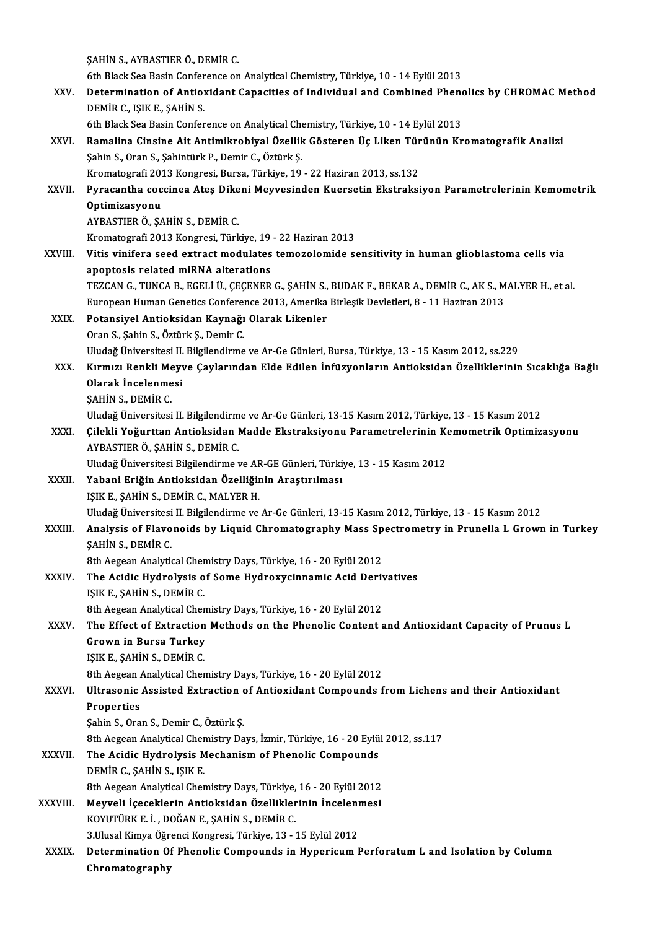ŞAHİNS.,AYBASTIERÖ.,DEMİRC.

6th Black Sea Basin Conference on Analytical Chemistry, Türkiye, 10 - 14 Eylül 2013

- SAHIN S., AYBASTIER Ö., DEMIR C.<br>6th Black Sea Basin Conference on Analytical Chemistry, Türkiye, 10 14 Eylül 2013<br>XXV. Determination of Antioxidant Capacities of Individual and Combined Phenolics by CHROMAC Method<br>R 6th Black Sea Basin Confer<br>Determination of Antio:<br>DEMİR C., IŞIK E., ŞAHİN S.<br>Eth Plack See Besin Confer
- Determination of Antioxidant Capacities of Individual and Combined Pheno<br>DEMİR C., IŞIK E., ŞAHİN S.<br>6th Black Sea Basin Conference on Analytical Chemistry, Türkiye, 10 14 Eylül 2013<br>Pamalina Cinsine Ait Antimikrobiyal Ö DEMİR C., IŞIK E., ŞAHİN S.<br>6th Black Sea Basin Conference on Analytical Chemistry, Türkiye, 10 - 14 Eylül 2013<br>XXVI. Ramalina Cinsine Ait Antimikrobiyal Özellik Gösteren Üç Liken Türünün Kromatografik Analizi 6th Black Sea Basin Conference on Analytical Chemistry, Türkiye, 10 - 14 Eylül 2013<br>Ramalina Cinsine Ait Antimikrobiyal Özellik Gösteren Üç Liken Türünün Kr<br>Şahin S., Oran S., Şahintürk P., Demir C., Öztürk Ş.<br>Kromatografi Ramalina Cinsine Ait Antimikrobiyal Özellik Gösteren Üç Liken Tür<br>Şahin S., Oran S., Şahintürk P., Demir C., Öztürk Ş.<br>Kromatografi 2013 Kongresi, Bursa, Türkiye, 19 - 22 Haziran 2013, ss.132<br>Burasantha sassinaa Atas Dikan Şahin S., Oran S., Şahintürk P., Demir C., Öztürk Ş.<br>Kromatografi 2013 Kongresi, Bursa, Türkiye, 19 - 22 Haziran 2013, ss.132<br>XXVII. Pyracantha coccinea Ateş Dikeni Meyvesinden Kuersetin Ekstraksiyon Parametrelerinin K Kromatografi 201<br><mark>Pyracantha coc</mark><br>Optimizasyonu<br>AVRASTIER Ö. SA Pyracantha coccinea Ateş Dike<br>Optimizasyonu<br>AYBASTIER Ö., ŞAHİN S., DEMİR C.<br>Kromatagrafi 2012 Kongresi, Türk Optimizasyonu<br>AYBASTIER Ö., ŞAHİN S., DEMİR C.<br>Kromatografi 2013 Kongresi, Türkiye, 19 - 22 Haziran 2013 XXVIII. Vitis vinifera seed extract modulates temozolomide sensitivity in human glioblastoma cells via apoptosis related miRNA alterations Vitis vinifera seed extract modulates temozolomide sensitivity in human glioblastoma cells via<br>apoptosis related miRNA alterations<br>TEZCAN G., TUNCA B., EGELİ Ü., ÇEÇENER G., ŞAHİN S., BUDAK F., BEKAR A., DEMİR C., AK S., M apoptosis related miRNA alterations<br>TEZCAN G., TUNCA B., EGELİ Ü., ÇEÇENER G., ŞAHİN S., BUDAK F., BEKAR A., DEMİR C., AK S., M<br>European Human Genetics Conference 2013, Amerika Birleşik Devletleri, 8 - 11 Haziran 2013<br>Peta TEZCAN G., TUNCA B., EGELİ Ü., ÇEÇENER G., ŞAHİN S.,<br>European Human Genetics Conference 2013, Amerika<br>XXIX. Potansiyel Antioksidan Kaynağı Olarak Likenler<br>Oran S. Sobin S. Örtürk S. Domin C. European Human Genetics Conference 2013, Amerika Birleşik Devletleri, 8 - 11 Haziran 2013<br>Potansiyel Antioksidan Kaynağı Olarak Likenler<br>Oran S., Sahin S., Öztürk S., Demir C. Uludağ Üniversitesi II. Bilgilendirme ve Ar-Ge Günleri, Bursa, Türkiye, 13 - 15 Kasım 2012, ss.229 Oran S., Şahin S., Öztürk Ş., Demir C.<br>Uludağ Üniversitesi II. Bilgilendirme ve Ar-Ge Günleri, Bursa, Türkiye, 13 - 15 Kasım 2012, ss.229<br>XXX. Kırmızı Renkli Meyve Çaylarından Elde Edilen İnfüzyonların Antioksidan Özel Uludağ Üniversitesi II.<br>Kırmızı Renkli Meyv<br>Olarak İncelenmesi<br>SAHİN S. DEMİP C Kırmızı Renkli Me<br>Olarak İncelenme<br>ŞAHİN S., DEMİR C.<br>Illudağ Üniversitesi Olarak İncelenmesi<br>ŞAHİN S., DEMİR C.<br>Uludağ Üniversitesi II. Bilgilendirme ve Ar-Ge Günleri, 13-15 Kasım 2012, Türkiye, 13 - 15 Kasım 2012<br>Gilekli Yoğunttan Antioksidan Madde Ekstreksiyeny Paramatrolerinin Kememetrik Onti ŞAHİN S., DEMİR C.<br>Uludağ Üniversitesi II. Bilgilendirme ve Ar-Ge Günleri, 13-15 Kasım 2012, Türkiye, 13 - 15 Kasım 2012<br>XXXI. Çilekli Yoğurttan Antioksidan Madde Ekstraksiyonu Parametrelerinin Kemometrik Optimizasyonu Uludağ Üniversitesi II. Bilgilendirm<br>Çilekli Yoğurttan Antioksidan I<br>AYBASTIER Ö., ŞAHİN S., DEMİR C.<br>Uludağ Üniversitesi Bilgilendirme ı Çilekli Yoğurttan Antioksidan Madde Ekstraksiyonu Parametrelerinin Ko<br>AYBASTIER Ö., ŞAHİN S., DEMİR C.<br>Uludağ Üniversitesi Bilgilendirme ve AR-GE Günleri, Türkiye, 13 - 15 Kasım 2012<br>Yahani Eriğin Antioksidan Özelliğinin A AYBASTIER Ö., ŞAHİN S., DEMİR C.<br>Uludağ Üniversitesi Bilgilendirme ve AR-GE Günleri, Türki<br>XXXII. Yabani Eriğin Antioksidan Özelliğinin Araştırılması<br>ISIK E. SAHİN S. DEMİR C. MALYER H Uludağ Üniversitesi Bilgilendirme ve AF<br>**Yabani Eriğin Antioksidan Özelliği**n<br>IŞIK E., ŞAHİN S., DEMİR C., MALYER H.<br>Illudağ Üniversitesi II. Bilgilendirme ve Yabani Eriğin Antioksidan Özelliğinin Araştırılması<br>IŞIK E., ŞAHİN S., DEMİR C., MALYER H.<br>Uludağ Üniversitesi II. Bilgilendirme ve Ar-Ge Günleri, 13-15 Kasım 2012, Türkiye, 13 - 15 Kasım 2012<br>Analysis of Elayanaida by Lia IŞIK E., ŞAHİN S., DEMİR C., MALYER H.<br>Uludağ Üniversitesi II. Bilgilendirme ve Ar-Ge Günleri, 13-15 Kasım 2012, Türkiye, 13 - 15 Kasım 2012<br>XXXIII. Analysis of Flavonoids by Liquid Chromatography Mass Spectrometry in Uludağ Üniversitesi<br>Analysis of Flavo<br>ŞAHİN S., DEMİR C.<br><sup>9th Agggan Analyti</sub></sup> Analysis of Flavonoids by Liquid Chromatography Mass Sp<br>SAHİN S., DEMİR C.<br>8th Aegean Analytical Chemistry Days, Türkiye, 16 - 20 Eylül 2012<br>The Asidis Hydnolysis of Some Hydnowysinnemis Asid Denit SAHIN S., DEMIR C.<br>8th Aegean Analytical Chemistry Days, Türkiye, 16 - 20 Eylül 2012<br>XXXIV. The Acidic Hydrolysis of Some Hydroxycinnamic Acid Derivatives 8th Aegean Analytical Cher<br>The Acidic Hydrolysis o<br>IŞIK E., ŞAHİN S., DEMİR C.<br><sup>9th Aggean Analytical Cher</sup> The Acidic Hydrolysis of Some Hydroxycinnamic Acid Deriv<br>IŞIK E., ŞAHİN S., DEMİR C.<br>8th Aegean Analytical Chemistry Days, Türkiye, 16 - 20 Eylül 2012<br>The Effect of Extraction Methods on the Phanalis Content s IŞIK E., ŞAHİN S., DEMİR C.<br>8th Aegean Analytical Chemistry Days, Türkiye, 16 - 20 Eylül 2012<br>XXXV. The Effect of Extraction Methods on the Phenolic Content and Antioxidant Capacity of Prunus L<br>Grown in Bursa Turkey 8th Aegean Analytical Chemistry Days, Türkiye, 16 - 20 Eylül 2012 IŞIKE.,ŞAHİNS.,DEMİRC. Grown in Bursa Turkey<br>IŞIK E., ŞAHİN S., DEMİR C.<br>8th Aegean Analytical Chemistry Days, Türkiye, 16 - 20 Eylül 2012<br>Illtresenis Assisted Extraction of Antioxidant Compounds f

XXXVI. Ultrasonic Assisted Extraction of Antioxidant Compounds from Lichens and their Antioxidant<br>Properties 8th Aegean<br>Ultrasonic<br>Properties<br>Sobin S. Ora ŞahinS.,OranS.,Demir C.,ÖztürkŞ. Properties<br>Şahin S., Oran S., Demir C., Öztürk Ş.<br>8th Aegean Analytical Chemistry Days, İzmir, Türkiye, 16 - 20 Eylül 2012, ss.117<br>The Asidie Hydrolysis Meshanism of Phanelis Compounds

Sahin S., Oran S., Demir C., Öztürk Ş.<br>8th Aegean Analytical Chemistry Days, İzmir, Türkiye, 16 - 20 Eylü<br>XXXVII. The Acidic Hydrolysis Mechanism of Phenolic Compounds<br>REMIR G. SAHIN S. ISIK E 8th Aegean Analytical Cher<br>The Acidic Hydrolysis M<br>DEMİR C., ŞAHİN S., IŞIK E.<br>8th Asgean Analytical Cher The Acidic Hydrolysis Mechanism of Phenolic Compounds<br>DEMİR C., ŞAHİN S., IŞIK E.<br>8th Aegean Analytical Chemistry Days, Türkiye, 16 - 20 Eylül 2012

- DEMİR C., ŞAHİN S., IŞIK E.<br>8th Aegean Analytical Chemistry Days, Türkiye, 16 20 Eylül 2012<br>XXXVIII. Meyveli İçeceklerin Antioksidan Özelliklerinin İncelenmesi 8th Aegean Analytical Chemistry Days, Türkiye,<br>Meyveli İçeceklerin Antioksidan Özellikler<br>KOYUTÜRK E. İ. , DOĞAN E., ŞAHİN S., DEMİR C.<br><sup>2 Husel Kimua Öğrangi Kangnesi</sup> Türkiye 12 Meyveli İçeceklerin Antioksidan Özelliklerinin İnceleni<br>KOYUTÜRK E. İ. , DOĞAN E., ŞAHİN S., DEMİR C.<br>3.Ulusal Kimya Öğrenci Kongresi, Türkiye, 13 - 15 Eylül 2012<br>Petermination Of Phanalis Comnounda in Hunarisum I KOYUTÜRK E. İ. , DOĞAN E., ŞAHİN S., DEMİR C.<br>3.Ulusal Kimya Öğrenci Kongresi, Türkiye, 13 - 15 Eylül 2012<br>XXXIX. Determination Of Phenolic Compounds in Hypericum Perforatum L and Isolation by Column
- Chromatography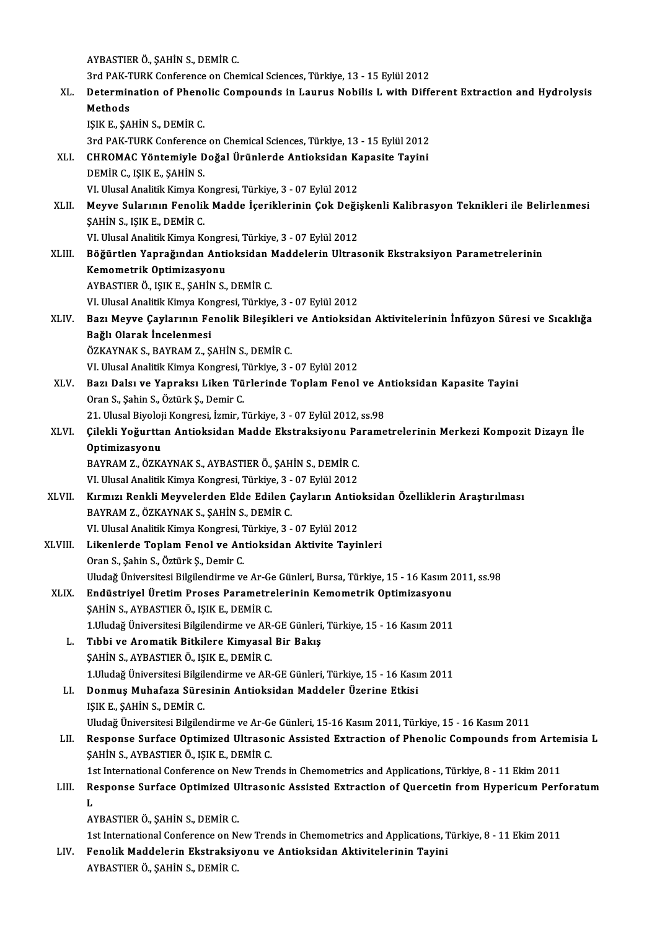AYBASTIERÖ.,ŞAHİNS.,DEMİRC. 3rd PAK-TURK Conference on Chemical Sciences, Türkiye, 13 - 15 Eylül 2012 AYBASTIER Ö., ŞAHİN S., DEMİR C.<br>3rd PAK-TURK Conference on Chemical Sciences, Türkiye, 13 - 15 Eylül 2012<br>XL. Determination of Phenolic Compounds in Laurus Nobilis L with Different Extraction and Hydrolysis<br>Methods 3rd PAK-T<br>Determin<br>Methods<br>ISIV E-SA Determination of Pheno<br>Methods<br>IŞIK E., ŞAHİN S., DEMİR C.<br><sup>2rd PAK TUBK</sup> Conference Methods<br>1ŞIK E., ŞAHİN S., DEMİR C.<br>3rd PAK-TURK Conference on Chemical Sciences, Türkiye, 13 - 15 Eylül 2012 IŞIK E., ŞAHİN S., DEMİR C.<br>3rd PAK-TURK Conference on Chemical Sciences, Türkiye, 13 - 15 Eylül 2012<br>XLI. CHROMAC Yöntemiyle Doğal Ürünlerde Antioksidan Kapasite Tayini<br>DEMİR C. ISIK E. SAHİN S 3rd PAK-TURK Conference<br>CHROMAC Yöntemiyle D<br>DEMİR C., IŞIK E., ŞAHİN S.<br>VI Ulucal Analitik Kimua Ke CHROMAC Yöntemiyle Doğal Ürünlerde Antioksidan Ka<br>DEMİR C., IŞIK E., ŞAHİN S.<br>VI. Ulusal Analitik Kimya Kongresi, Türkiye, 3 - 07 Eylül 2012<br>Meuve Sularının Fenalik Madda İseriklerinin Cak Deği DEMİR C., IŞIK E., ŞAHİN S.<br>VI. Ulusal Analitik Kimya Kongresi, Türkiye, 3 - 07 Eylül 2012<br>XLII. Meyve Sularının Fenolik Madde İçeriklerinin Çok Değişkenli Kalibrasyon Teknikleri ile Belirlenmesi<br>SAHİN S. ISIK E. DEMİR VI. Ulusal Analitik Kimya Ko<br><mark>Meyve Sularının Fenolik</mark><br>ŞAHİN S., IŞIK E., DEMİR C.<br>VI. Ulusal Analitik Kimya Ko Meyve Sularının Fenolik Madde İçeriklerinin Çok Deği:<br>ŞAHİN S., IŞIK E., DEMİR C.<br>VI. Ulusal Analitik Kimya Kongresi, Türkiye, 3 - 07 Eylül 2012<br>Böğürtlen Yanrağından Antioksidan Maddelerin Illtras SAHİN S., IŞIK E., DEMİR C.<br>VI. Ulusal Analitik Kimya Kongresi, Türkiye, 3 - 07 Eylül 2012<br>XLIII. Böğürtlen Yaprağından Antioksidan Maddelerin Ultrasonik Ekstraksiyon Parametrelerinin Kemometrik Optimizasyonu AYBASTIERÖ., IŞIKE.,ŞAHİNS.,DEMİRC. VI.UlusalAnalitikKimyaKongresi,Türkiye,3 -07Eylül2012 AYBASTIER Ö., IŞIK E., ŞAHİN S., DEMİR C.<br>VI. Ulusal Analitik Kimya Kongresi, Türkiye, 3 - 07 Eylül 2012<br>XLIV. Bazı Meyve Çaylarının Fenolik Bileşikleri ve Antioksidan Aktivitelerinin İnfüzyon Süresi ve Sıcaklığa VI. Ulusal Analitik Kimya Kor<br>Bazı Meyve Çaylarının Fe<br>Bağlı Olarak İncelenmesi<br>ÖZKAYNAKS, BAYRAM Z. S Bazı Meyve Çaylarının Fenolik Bileşikleri<br>Bağlı Olarak İncelenmesi<br>ÖZKAYNAK S., BAYRAM Z., ŞAHİN S., DEMİR C.<br>VI Ulusal Analitlı Vimua Kangussi Türkiye 2 Bağlı Olarak İncelenmesi<br>ÖZKAYNAK S., BAYRAM Z., ŞAHİN S., DEMİR C.<br>VI. Ulusal Analitik Kimya Kongresi, Türkiye, 3 - 07 Eylül 2012<br>Barı Dalaı ve Yannakaı Likan Türlərində Tanlam Fanalı ÖZKAYNAK S., BAYRAM Z., ŞAHİN S., DEMİR C.<br>VI. Ulusal Analitik Kimya Kongresi, Türkiye, 3 - 07 Eylül 2012<br>XLV. Bazı Dalsı ve Yapraksı Liken Türlerinde Toplam Fenol ve Antioksidan Kapasite Tayini<br>Oran S., Şahin S., Öztürk Ş VI. Ulusal Analitik Kimya Kongresi, 1<br>Bazı Dalsı ve Yapraksı Liken Tü<br>Oran S., Şahin S., Öztürk Ş., Demir C.<br>21 Ulusal Biyoloji Kongresi, İzmir T Bazı Dalsı ve Yapraksı Liken Türlerinde Toplam Fenol ve Aı<br>Oran S., Şahin S., Öztürk Ş., Demir C.<br>21. Ulusal Biyoloji Kongresi, İzmir, Türkiye, 3 - 07 Eylül 2012, ss.98<br>Gilekli Yeğurttan Antieksidan Madde Ekstreksiyenu Ber Oran S., Şahin S., Öztürk Ş., Demir C.<br>21. Ulusal Biyoloji Kongresi, İzmir, Türkiye, 3 - 07 Eylül 2012, ss.98<br>XLVI. Çilekli Yoğurttan Antioksidan Madde Ekstraksiyonu Parametrelerinin Merkezi Kompozit Dizayn İle<br>Optimiz 21. Ulusal Biyoloj<br>Çilekli Yoğurtta<br>Optimizasyonu<br>PAVPAM 7. Ö7K/ Çilekli Yoğurttan Antioksidan Madde Ekstraksiyonu Pa<br>Optimizasyonu<br>BAYRAM Z., ÖZKAYNAK S., AYBASTIER Ö., ŞAHİN S., DEMİR C.<br>VI Hlusal Analitik Kimya Kongresi Türkiya 2., 97 Evlül 2012. Optimizasyonu<br>BAYRAM Z., ÖZKAYNAK S., AYBASTIER Ö., ŞAHİN S., DEMİR C.<br>VI. Ulusal Analitik Kimya Kongresi, Türkiye, 3 - 07 Eylül 2012 BAYRAM Z., ÖZKAYNAK S., AYBASTIER Ö., ŞAHİN S., DEMİR C.<br>VI. Ulusal Analitik Kimya Kongresi, Türkiye, 3 - 07 Eylül 2012<br>XLVII. Kırmızı Renkli Meyvelerden Elde Edilen Çayların Antioksidan Özelliklerin Araştırılması<br>RAYR BAYRAM Z., ÖZKAYNAK S., ŞAHİN S., DEMİR C. Kırmızı Renkli Meyvelerden Elde Edilen Çayların Antio<br>BAYRAM Z., ÖZKAYNAK S., ŞAHİN S., DEMİR C.<br>VI. Ulusal Analitik Kimya Kongresi, Türkiye, 3 - 07 Eylül 2012<br>Likanlarda Tanlam Fanal ve Antioksidan Aktivita Taviı XLVIII. Likenlerde Toplam Fenol ve Antioksidan Aktivite Tayinleri<br>Oran S., Şahin S., Öztürk Ş., Demir C. VI. Ulusal Analitik Kimya Kongresi, Türkiye, 3 - 07 Eylül 2012 Uludağ Üniversitesi Bilgilendirme ve Ar-Ge Günleri, Bursa, Türkiye, 15 - 16 Kasım 2011, ss.98 Oran S., Şahin S., Öztürk Ş., Demir C.<br>Uludağ Üniversitesi Bilgilendirme ve Ar-Ge Günleri, Bursa, Türkiye, 15 - 16 Kasım 2<br>XLIX. Endüstriyel Üretim Proses Parametrelerinin Kemometrik Optimizasyonu<br>SAHİN S. AVRASTIER Ö. ISI ŞAHİN S., AYBASTIER Ö., IŞIK E., DEMİR C.<br>1.Uludağ Üniversitesi Bilgilendirme ve AR-GE Günleri, Türkiye, 15 - 16 Kasım 2011 Endüstriyel Üretim Proses Parametrelerinin Kemometrik Optimizasyonu<br>ŞAHİN S., AYBASTIER Ö., IŞIK E., DEMİR C.<br>1.Uludağ Üniversitesi Bilgilendirme ve AR-GE Günleri, Türkiye, 15 - 16 Kasım 2011<br>Tıbbi ve Aramatik Bitkilara Ki L. Tıbbi ve Aromatik Bitkilere Kimyasal Bir Bakış ŞAHİN S., AYBASTIER Ö., IŞIK E., DEMİR C. Tıbbi ve Aromatik Bitkilere Kimyasal Bir Bakış<br>ŞAHİN S., AYBASTIER Ö., IŞIK E., DEMİR C.<br>1.Uludağ Üniversitesi Bilgilendirme ve AR-GE Günleri, Türkiye, 15 - 16 Kasım 2011<br>Denmus Muhafaza Süresinin Antiaksidan Maddeler Üzer ŞAHİN S., AYBASTIER Ö., IŞIK E., DEMİR C.<br>1.Uludağ Üniversitesi Bilgilendirme ve AR-GE Günleri, Türkiye, 15 - 16 Kası:<br>LI. Donmuş Muhafaza Süresinin Antioksidan Maddeler Üzerine Etkisi<br>1511: E. SAHİN S. DEMİR C LI. Donmuş Muhafaza Süresinin Antioksidan Maddeler Üzerine Etkisi<br>IŞIK E., ŞAHİN S., DEMİR C. Donmuş Muhafaza Süresinin Antioksidan Maddeler Üzerine Etkisi<br>IŞIK E., ŞAHİN S., DEMİR C.<br>Uludağ Üniversitesi Bilgilendirme ve Ar-Ge Günleri, 15-16 Kasım 2011, Türkiye, 15 - 16 Kasım 2011<br>Bespense Surfase Ontimized Illtres IŞIK E., ŞAHİN S., DEMİR C.<br>Uludağ Üniversitesi Bilgilendirme ve Ar-Ge Günleri, 15-16 Kasım 2011, Türkiye, 15 - 16 Kasım 2011<br>LII. Response Surface Optimized Ultrasonic Assisted Extraction of Phenolic Compounds from Ar Uludağ Üniversitesi Bilgilendirme ve Ar-Ge<br>Response Surface Optimized Ultrasor<br>ŞAHİN S., AYBASTIER Ö., IŞIK E., DEMİR C.<br>1st International Conference on New Trer Response Surface Optimized Ultrasonic Assisted Extraction of Phenolic Compounds from Arter<br>SAHİN S., AYBASTIER Ö., IŞIK E., DEMİR C.<br>1st International Conference on New Trends in Chemometrics and Applications, Türkiye, 8 -SAHIN S., AYBASTIER Ö., IŞIK E., DEMIR C.<br>1st International Conference on New Trends in Chemometrics and Applications, Türkiye, 8 - 11 Ekim 2011<br>1. Response Surface Optimized Ultrasonic Assisted Extraction of Quercetin fro  $\frac{1}{R}$ <br>L<br> $\frac{1}{A}$ Response Surface Optimized U<br>L<br>AYBASTIER Ö., ŞAHİN S., DEMİR C.<br>1st International Conference on N. L<br>AYBASTIER Ö., ŞAHİN S., DEMİR C.<br>1st International Conference on New Trends in Chemometrics and Applications, Türkiye, 8 - 11 Ekim 2011 AYBASTIER Ö., ȘAHİN S., DEMİR C.<br>1st International Conference on New Trends in Chemometrics and Applications, T<br>LIV. Fenolik Maddelerin Ekstraksiyonu ve Antioksidan Aktivitelerinin Tayini<br>AVRASTIER Ö. SAHİN S. DEMİR C.

1st International Conference on N<br>Fenolik Maddelerin Ekstraksiy<br>AYBASTIER Ö., ŞAHİN S., DEMİR C.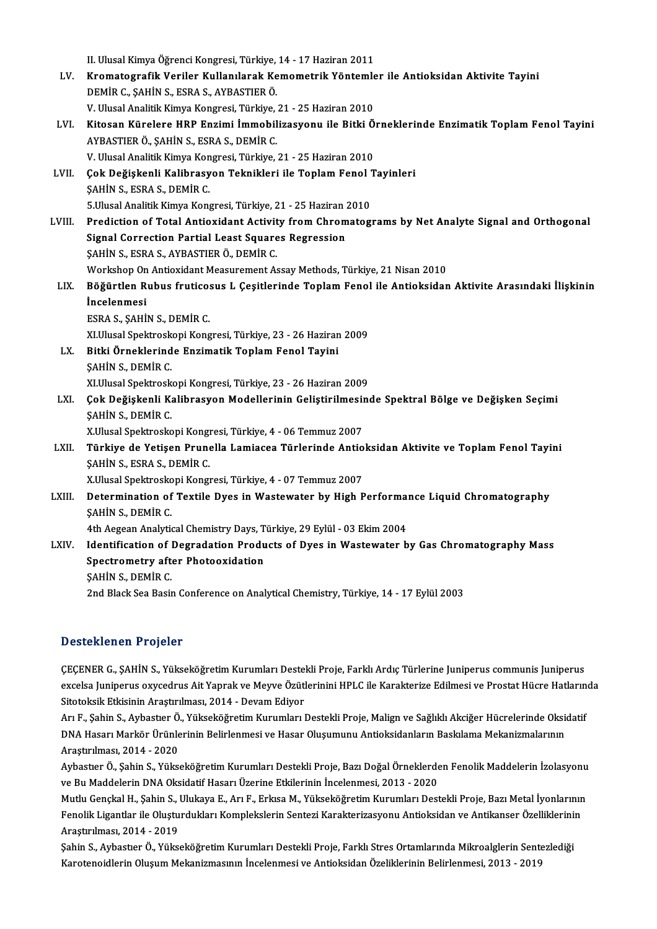|        | II. Ulusal Kimya Öğrenci Kongresi, Türkiye, 14 - 17 Haziran 2011                                     |
|--------|------------------------------------------------------------------------------------------------------|
| LV.    | Kromatografik Veriler Kullanılarak Kemometrik Yöntemler ile Antioksidan Aktivite Tayini              |
|        | DEMİR C., ŞAHİN S., ESRA S., AYBASTIER Ö.                                                            |
|        | V. Ulusal Analitik Kimya Kongresi, Türkiye, 21 - 25 Haziran 2010                                     |
| LVI.   | Kitosan Kürelere HRP Enzimi İmmobilizasyonu ile Bitki Örneklerinde Enzimatik Toplam Fenol Tayini     |
|        | AYBASTIER Ö., ŞAHİN S., ESRA S., DEMİR C.                                                            |
|        | V. Ulusal Analitik Kimya Kongresi, Türkiye, 21 - 25 Haziran 2010                                     |
| LVII.  | Çok Değişkenli Kalibrasyon Teknikleri ile Toplam Fenol Tayinleri                                     |
|        | <b>ŞAHİN S., ESRA S., DEMİR C.</b>                                                                   |
|        | 5 Ulusal Analitik Kimya Kongresi, Türkiye, 21 - 25 Haziran 2010                                      |
| LVIII. | Prediction of Total Antioxidant Activity from Chromatograms by Net Analyte Signal and Orthogonal     |
|        | Signal Correction Partial Least Squares Regression                                                   |
|        | ŞAHİN S., ESRA S., AYBASTIER Ö., DEMİR C.                                                            |
|        | Workshop On Antioxidant Measurement Assay Methods, Türkiye, 21 Nisan 2010                            |
| LIX.   | Böğürtlen Rubus fruticosus L Çeşitlerinde Toplam Fenol ile Antioksidan Aktivite Arasındaki İlişkinin |
|        | İncelenmesi                                                                                          |
|        | ESRA S., ŞAHİN S., DEMİR C.                                                                          |
|        | XI.Ulusal Spektroskopi Kongresi, Türkiye, 23 - 26 Haziran 2009                                       |
| LX.    | Bitki Örneklerinde Enzimatik Toplam Fenol Tayini                                                     |
|        | SAHIN S, DEMIR C.                                                                                    |
|        | XI.Ulusal Spektroskopi Kongresi, Türkiye, 23 - 26 Haziran 2009                                       |
| LXI.   | Çok Değişkenli Kalibrasyon Modellerinin Geliştirilmesinde Spektral Bölge ve Değişken Seçimi          |
|        | ŞAHİN S, DEMİR C                                                                                     |
|        | X.Ulusal Spektroskopi Kongresi, Türkiye, 4 - 06 Temmuz 2007                                          |
| LXII.  | Türkiye de Yetişen Prunella Lamiacea Türlerinde Antioksidan Aktivite ve Toplam Fenol Tayini          |
|        | SAHIN S., ESRA S., DEMIR C.                                                                          |
|        | X.Ulusal Spektroskopi Kongresi, Türkiye, 4 - 07 Temmuz 2007                                          |
| LXIII. | Determination of Textile Dyes in Wastewater by High Performance Liquid Chromatography                |
|        | SAHIN S. DEMIR C.                                                                                    |
|        | 4th Aegean Analytical Chemistry Days, Türkiye, 29 Eylül - 03 Ekim 2004                               |
| LXIV.  | Identification of Degradation Products of Dyes in Wastewater by Gas Chromatography Mass              |
|        | Spectrometry after Photooxidation                                                                    |
|        | ŞAHİN S, DEMİR C                                                                                     |
|        | 2nd Black Sea Basin Conference on Analytical Chemistry, Türkiye, 14 - 17 Eylül 2003                  |

## Desteklenen Projeler

**Desteklenen Projeler**<br>ÇEÇENER G., ŞAHİN S., Yükseköğretim Kurumları Destekli Proje, Farklı Ardıç Türlerine Juniperus communis Juniperus<br>2xeelse Juniperus exxeedrus Ait Vaprek ve Meyve Özütlerinini HPLC ile Karekterize Edi e ootomonen 7 vojolor<br>ÇEÇENER G., ŞAHİN S., Yükseköğretim Kurumları Destekli Proje, Farklı Ardıç Türlerine Juniperus communis Juniperus<br>Sitateksik Etkisinin Arastırılması, 2014, "Devam Ediyar ÇEÇENER G., ŞAHİN S., Yükseköğretim Kurumları Destel<br>excelsa Juniperus oxycedrus Ait Yaprak ve Meyve Özütl<br>Sitotoksik Etkisinin Araştırılması, 2014 - Devam Ediyor<br>Arı E. Sahin S., Aybestıer Ö. Vülseköğretim Kurumları I excelsa Juniperus oxycedrus Ait Yaprak ve Meyve Özütlerinini HPLC ile Karakterize Edilmesi ve Prostat Hücre Hatlarında<br>Sitotoksik Etkisinin Araştırılması, 2014 - Devam Ediyor<br>Arı F., Şahin S., Aybastıer Ö., Yükseköğretim K

Sitotoksik Etkisinin Araştırılması, 2014 - Devam Ediyor<br>Arı F., Şahin S., Aybastıer Ö., Yükseköğretim Kurumları Destekli Proje, Malign ve Sağlıklı Akciğer Hücrelerinde Oksi<br>DNA Hasarı Markör Ürünlerinin Belirlenmesi ve Has Arı F., Şahin S., Aybastıer Ö.<br>DNA Hasarı Markör Ürünle<br>Araştırılması, 2014 - 2020<br>Aybastısı Ö. Sabin S. Yülke DNA Hasarı Markör Ürünlerinin Belirlenmesi ve Hasar Oluşumunu Antioksidanların Baskılama Mekanizmalarının<br>Araştırılması, 2014 - 2020<br>Aybastıer Ö., Şahin S., Yükseköğretim Kurumları Destekli Proje, Bazı Doğal Örneklerden Fe

Araştırılması, 2014 - 2020<br>Aybastıer Ö., Şahin S., Yükseköğretim Kurumları Destekli Proje, Bazı Doğal Örneklerde<br>ve Bu Maddelerin DNA Oksidatif Hasarı Üzerine Etkilerinin İncelenmesi, 2013 - 2020<br>Mutlu Canakal H. Sabin S. Aybastıer Ö., Şahin S., Yükseköğretim Kurumları Destekli Proje, Bazı Doğal Örneklerden Fenolik Maddelerin İzolasyonu<br>ve Bu Maddelerin DNA Oksidatif Hasarı Üzerine Etkilerinin İncelenmesi, 2013 - 2020<br>Mutlu Gençkal H., Şahi

ve Bu Maddelerin DNA Oksidatif Hasarı Üzerine Etkilerinin İncelenmesi, 2013 - 2020<br>Mutlu Gençkal H., Şahin S., Ulukaya E., Arı F., Erkısa M., Yükseköğretim Kurumları Destekli Proje, Bazı Metal İyonlarının<br>Fenolik Ligantlar Mutlu Gençkal H., Şahin S., Ulukaya E., Arı F., Erkısa M., Yükseköğretim Kurumları Destekli Proje, Bazı Metal İyonlarının<br>Fenolik Ligantlar ile Oluşturdukları Komplekslerin Sentezi Karakterizasyonu Antioksidan ve Antikanse Fenolik Ligantlar ile Oluşturdukları Komplekslerin Sentezi Karakterizasyonu Antioksidan ve Antikanser Özelliklerini<br>Araştırılması, 2014 - 2019<br>Şahin S., Aybastıer Ö., Yükseköğretim Kurumları Destekli Proje, Farklı Stres Or

Şahin S., Aybastıer Ö., Yükseköğretim Kurumları Destekli Proje, Farklı Stres Ortamlarında Mikroalglerin Sentezlediği<br>Karotenoidlerin Oluşum Mekanizmasının İncelenmesi ve Antioksidan Özeliklerinin Belirlenmesi, 2013 - 2019